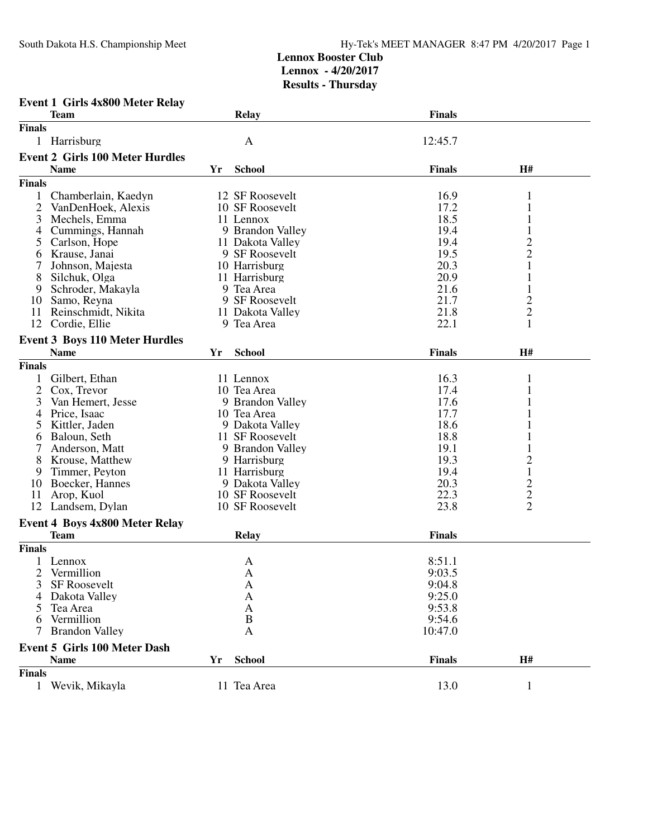|                | <b>Event 1 Girls 4x800 Meter Relay</b> |    |                  |               |                         |  |
|----------------|----------------------------------------|----|------------------|---------------|-------------------------|--|
|                | <b>Team</b>                            |    | <b>Relay</b>     | <b>Finals</b> |                         |  |
| <b>Finals</b>  |                                        |    |                  |               |                         |  |
|                | 1 Harrisburg                           |    | A                | 12:45.7       |                         |  |
|                | <b>Event 2 Girls 100 Meter Hurdles</b> |    |                  |               |                         |  |
|                | <b>Name</b>                            | Yr | <b>School</b>    | <b>Finals</b> | H#                      |  |
| <b>Finals</b>  |                                        |    |                  |               |                         |  |
| 1              | Chamberlain, Kaedyn                    |    | 12 SF Roosevelt  | 16.9          | $\mathbf 1$             |  |
| $\overline{2}$ | VanDenHoek, Alexis                     |    | 10 SF Roosevelt  | 17.2          | $\mathbf{1}$            |  |
| 3              | Mechels, Emma                          |    | 11 Lennox        | 18.5          | 1                       |  |
| 4              | Cummings, Hannah                       |    | 9 Brandon Valley | 19.4          | 1                       |  |
| 5              | Carlson, Hope                          |    | 11 Dakota Valley | 19.4          | $\overline{\mathbf{c}}$ |  |
| 6              | Krause, Janai                          |    | 9 SF Roosevelt   | 19.5          | $\overline{c}$          |  |
|                | Johnson, Majesta                       |    | 10 Harrisburg    | 20.3          | $\mathbf{1}$            |  |
| 8              | Silchuk, Olga                          |    | 11 Harrisburg    | 20.9          | $\mathbf{1}$            |  |
| 9              | Schroder, Makayla                      |    | 9 Tea Area       | 21.6          | 1                       |  |
| 10             | Samo, Reyna                            |    | 9 SF Roosevelt   | 21.7          | $\overline{c}$          |  |
| 11             | Reinschmidt, Nikita                    |    | 11 Dakota Valley | 21.8          | 2                       |  |
| 12             | Cordie, Ellie                          |    | 9 Tea Area       | 22.1          | 1                       |  |
|                |                                        |    |                  |               |                         |  |
|                | <b>Event 3 Boys 110 Meter Hurdles</b>  |    |                  |               |                         |  |
|                | <b>Name</b>                            | Yr | <b>School</b>    | <b>Finals</b> | H#                      |  |
| <b>Finals</b>  |                                        |    |                  |               |                         |  |
| 1              | Gilbert, Ethan                         |    | 11 Lennox        | 16.3          | 1                       |  |
| $\overline{2}$ | Cox, Trevor                            |    | 10 Tea Area      | 17.4          | 1                       |  |
| 3              | Van Hemert, Jesse                      |    | 9 Brandon Valley | 17.6          |                         |  |
| 4              | Price, Isaac                           |    | 10 Tea Area      | 17.7          |                         |  |
| 5              | Kittler, Jaden                         |    | 9 Dakota Valley  | 18.6          |                         |  |
| 6              | Baloun, Seth                           |    | 11 SF Roosevelt  | 18.8          |                         |  |
|                | Anderson, Matt                         |    | 9 Brandon Valley | 19.1          |                         |  |
| 8              | Krouse, Matthew                        |    | 9 Harrisburg     | 19.3          | $\overline{\mathbf{c}}$ |  |
| 9              | Timmer, Peyton                         |    | 11 Harrisburg    | 19.4          | $\,1$                   |  |
| 10             | Boecker, Hannes                        |    | 9 Dakota Valley  | 20.3          | $\frac{2}{2}$           |  |
| 11             | Arop, Kuol                             |    | 10 SF Roosevelt  | 22.3          |                         |  |
| 12             | Landsem, Dylan                         |    | 10 SF Roosevelt  | 23.8          | $\overline{2}$          |  |
|                | <b>Event 4 Boys 4x800 Meter Relay</b>  |    |                  |               |                         |  |
|                | <b>Team</b>                            |    | <b>Relay</b>     | <b>Finals</b> |                         |  |
| <b>Finals</b>  |                                        |    |                  |               |                         |  |
| $\mathbf{1}$   | Lennox                                 |    | A                | 8:51.1        |                         |  |
| 2              | Vermillion                             |    | A                | 9:03.5        |                         |  |
| 3              | <b>SF Roosevelt</b>                    |    | A                | 9:04.8        |                         |  |
|                | Dakota Valley                          |    | A                | 9:25.0        |                         |  |
| $\mathcal{L}$  | Tea Area                               |    | A                | 9:53.8        |                         |  |
| 6              | Vermillion                             |    | B                | 9:54.6        |                         |  |
| 7              | <b>Brandon Valley</b>                  |    | A                | 10:47.0       |                         |  |
|                | <b>Event 5 Girls 100 Meter Dash</b>    |    |                  |               |                         |  |
|                | <b>Name</b>                            | Yr | <b>School</b>    | <b>Finals</b> | H#                      |  |
| <b>Finals</b>  |                                        |    |                  |               |                         |  |
|                |                                        |    |                  |               |                         |  |
|                | 1 Wevik, Mikayla                       |    | 11 Tea Area      | 13.0          | $\mathbf{1}$            |  |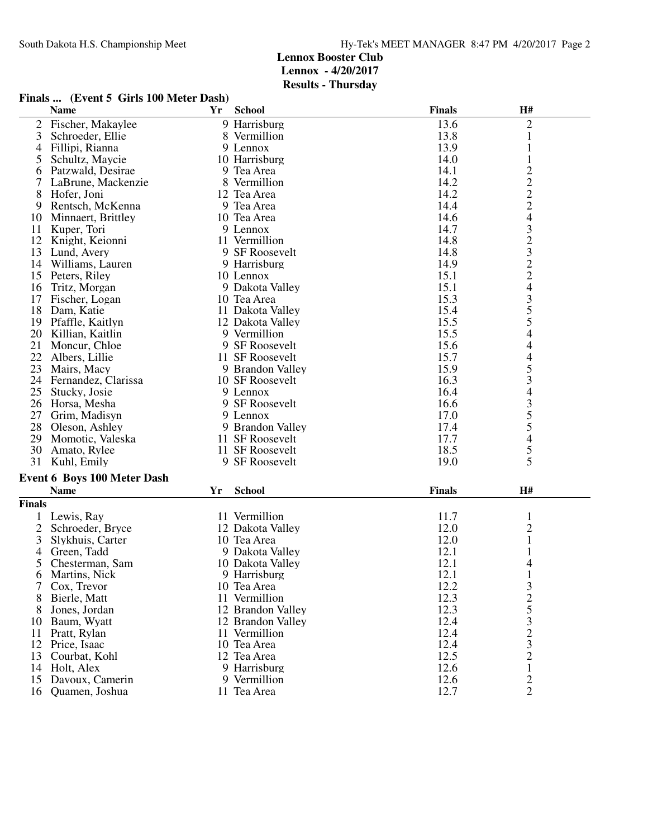|               | Finals  (Event 5 Girls 100 Meter Dash) |           |                   |               |                                            |  |  |  |
|---------------|----------------------------------------|-----------|-------------------|---------------|--------------------------------------------|--|--|--|
|               | <b>Name</b>                            | <b>Yr</b> | <b>School</b>     | <b>Finals</b> | H#                                         |  |  |  |
| 2             | Fischer, Makaylee                      |           | 9 Harrisburg      | 13.6          | $\sqrt{2}$                                 |  |  |  |
| 3             | Schroeder, Ellie                       |           | 8 Vermillion      | 13.8          | $\,1$                                      |  |  |  |
| 4             | Fillipi, Rianna                        |           | 9 Lennox          | 13.9          | $\mathbf{1}$                               |  |  |  |
| 5             | Schultz, Maycie                        |           | 10 Harrisburg     | 14.0          | $\mathbf{1}$                               |  |  |  |
| 6             | Patzwald, Desirae                      |           | 9 Tea Area        | 14.1          | $\overline{c}$                             |  |  |  |
|               | LaBrune, Mackenzie                     |           | 8 Vermillion      | 14.2          |                                            |  |  |  |
| 8             | Hofer, Joni                            |           | 12 Tea Area       | 14.2          |                                            |  |  |  |
| 9             | Rentsch, McKenna                       |           | 9 Tea Area        | 14.4          | $\frac{2}{2}$                              |  |  |  |
| 10            | Minnaert, Brittley                     |           | 10 Tea Area       | 14.6          | $\overline{4}$                             |  |  |  |
| 11            | Kuper, Tori                            |           | 9 Lennox          | 14.7          |                                            |  |  |  |
|               | 12 Knight, Keionni                     |           | 11 Vermillion     | 14.8          |                                            |  |  |  |
|               | 13 Lund, Avery                         |           | 9 SF Roosevelt    | 14.8          | $\begin{array}{c} 3 \\ 2 \\ 3 \end{array}$ |  |  |  |
|               | 14 Williams, Lauren                    |           | 9 Harrisburg      | 14.9          |                                            |  |  |  |
|               | 15 Peters, Riley                       |           | 10 Lennox         | 15.1          | $\frac{2}{2}$                              |  |  |  |
| 16            | Tritz, Morgan                          |           | 9 Dakota Valley   | 15.1          | $\overline{4}$                             |  |  |  |
| 17            | Fischer, Logan                         |           | 10 Tea Area       | 15.3          |                                            |  |  |  |
|               | 18 Dam, Katie                          |           | 11 Dakota Valley  | 15.4          |                                            |  |  |  |
|               | 19 Pfaffle, Kaitlyn                    |           | 12 Dakota Valley  | 15.5          | $\begin{array}{c} 3 \\ 5 \\ 5 \end{array}$ |  |  |  |
| 20            | Killian, Kaitlin                       |           | 9 Vermillion      | 15.5          | $\overline{4}$                             |  |  |  |
| 21            | Moncur, Chloe                          |           | 9 SF Roosevelt    | 15.6          | 4                                          |  |  |  |
| 22            | Albers, Lillie                         |           | 11 SF Roosevelt   | 15.7          | $\overline{\mathcal{A}}$                   |  |  |  |
| 23            | Mairs, Macy                            |           | 9 Brandon Valley  | 15.9          |                                            |  |  |  |
|               | 24 Fernandez, Clarissa                 |           | 10 SF Roosevelt   | 16.3          | $\frac{5}{3}$                              |  |  |  |
| 25            | Stucky, Josie                          |           | 9 Lennox          | 16.4          |                                            |  |  |  |
|               | 26 Horsa, Mesha                        |           | 9 SF Roosevelt    | 16.6          | $\begin{array}{c} 4 \\ 3 \\ 5 \end{array}$ |  |  |  |
|               | 27 Grim, Madisyn                       |           | 9 Lennox          | 17.0          |                                            |  |  |  |
|               | 28 Oleson, Ashley                      |           | 9 Brandon Valley  | 17.4          | 5                                          |  |  |  |
|               | 29 Momotic, Valeska                    |           | 11 SF Roosevelt   | 17.7          | $\overline{4}$                             |  |  |  |
| 30            | Amato, Rylee                           |           | 11 SF Roosevelt   | 18.5          |                                            |  |  |  |
|               | 31 Kuhl, Emily                         |           | 9 SF Roosevelt    | 19.0          | $\frac{5}{5}$                              |  |  |  |
|               |                                        |           |                   |               |                                            |  |  |  |
|               | <b>Event 6 Boys 100 Meter Dash</b>     |           |                   |               |                                            |  |  |  |
|               | <b>Name</b>                            | Yr        | <b>School</b>     | <b>Finals</b> | H#                                         |  |  |  |
| <b>Finals</b> |                                        |           |                   |               |                                            |  |  |  |
|               | 1 Lewis, Ray                           |           | 11 Vermillion     | 11.7          | $\mathbf{1}$                               |  |  |  |
| 2             | Schroeder, Bryce                       |           | 12 Dakota Valley  | 12.0          | $\overline{c}$                             |  |  |  |
| 3             | Slykhuis, Carter                       |           | 10 Tea Area       | 12.0          | $\mathbf{1}$                               |  |  |  |
| 4             | Green, Tadd                            |           | 9 Dakota Valley   | 12.1          |                                            |  |  |  |
| 5             | Chesterman, Sam                        |           | 10 Dakota Vallev  | 12.1          | 4                                          |  |  |  |
| 6             | Martins, Nick                          |           | 9 Harrisburg      | 12.1          | $\mathbf{1}$                               |  |  |  |
|               | Cox, Trevor                            |           | 10 Tea Area       | 12.2          |                                            |  |  |  |
| 8             | Bierle, Matt                           |           | 11 Vermillion     | 12.3          |                                            |  |  |  |
| 8             | Jones, Jordan                          |           | 12 Brandon Valley | 12.3          | $\frac{3}{2}$ 5 3 2                        |  |  |  |
| 10            | Baum, Wyatt                            |           | 12 Brandon Valley | 12.4          |                                            |  |  |  |
| 11            | Pratt, Rylan                           |           | 11 Vermillion     | 12.4          |                                            |  |  |  |
| 12            | Price, Isaac                           |           | 10 Tea Area       | 12.4          | 3                                          |  |  |  |
| 13            | Courbat, Kohl                          |           | 12 Tea Area       | 12.5          | $\overline{c}$                             |  |  |  |
|               | 14 Holt, Alex                          |           | 9 Harrisburg      | 12.6          | $\mathbf 1$                                |  |  |  |
|               | 15 Davoux, Camerin                     |           | 9 Vermillion      | 12.6          | $\sqrt{2}$                                 |  |  |  |
|               | 16 Quamen, Joshua                      |           | 11 Tea Area       | 12.7          | $\overline{2}$                             |  |  |  |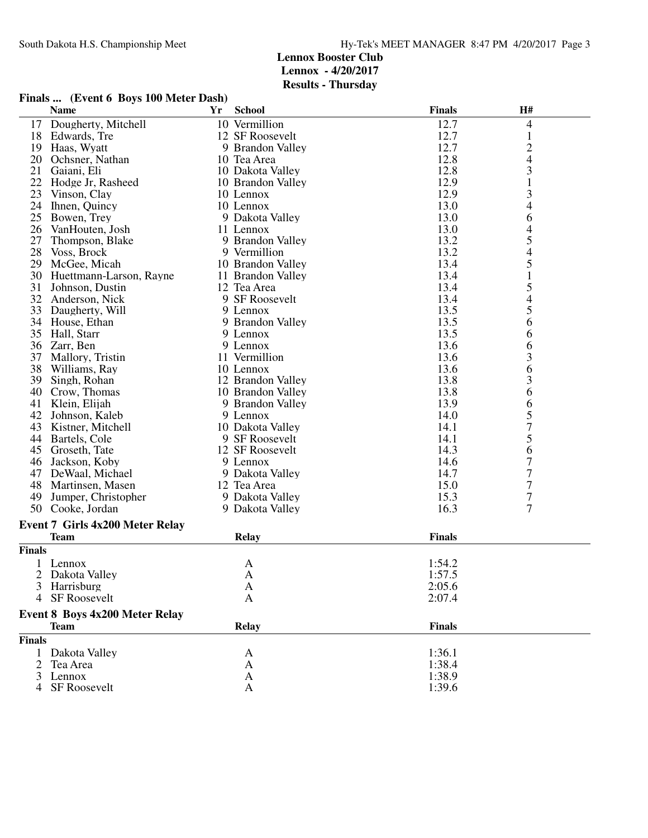|               | Finals  (Event 6 Boys 100 Meter Dash)  |    |                   |               |                          |  |  |  |
|---------------|----------------------------------------|----|-------------------|---------------|--------------------------|--|--|--|
|               | <b>Name</b>                            | Yr | <b>School</b>     | <b>Finals</b> | H#                       |  |  |  |
| 17            | Dougherty, Mitchell                    |    | 10 Vermillion     | 12.7          | $\overline{4}$           |  |  |  |
|               | 18 Edwards, Tre                        |    | 12 SF Roosevelt   | 12.7          | $\mathbf{1}$             |  |  |  |
|               | 19 Haas, Wyatt                         |    | 9 Brandon Valley  | 12.7          |                          |  |  |  |
| 20            | Ochsner, Nathan                        |    | 10 Tea Area       | 12.8          | $\frac{2}{4}$            |  |  |  |
| 21            | Gaiani, Eli                            |    | 10 Dakota Valley  | 12.8          | 3                        |  |  |  |
| 22            | Hodge Jr, Rasheed                      |    | 10 Brandon Valley | 12.9          | $\mathbf{1}$             |  |  |  |
| 23            | Vinson, Clay                           |    | 10 Lennox         | 12.9          | 3                        |  |  |  |
|               | 24 Ihnen, Quincy                       |    | 10 Lennox         | 13.0          | 4                        |  |  |  |
|               | 25 Bowen, Trey                         |    | 9 Dakota Valley   | 13.0          | 6                        |  |  |  |
|               | 26 VanHouten, Josh                     |    | 11 Lennox         | 13.0          | $\overline{4}$           |  |  |  |
| 27            | Thompson, Blake                        |    | 9 Brandon Valley  | 13.2          | 5                        |  |  |  |
| 28            | Voss, Brock                            |    | 9 Vermillion      | 13.2          | 4                        |  |  |  |
| 29            | McGee, Micah                           |    | 10 Brandon Valley | 13.4          | 5                        |  |  |  |
| 30            | Huettmann-Larson, Rayne                |    | 11 Brandon Valley | 13.4          | $\,1$                    |  |  |  |
| 31            | Johnson, Dustin                        |    | 12 Tea Area       | 13.4          | $\mathfrak s$            |  |  |  |
| 32            | Anderson, Nick                         |    | 9 SF Roosevelt    | 13.4          | $\overline{\mathcal{L}}$ |  |  |  |
| 33            | Daugherty, Will                        |    | 9 Lennox          | 13.5          | 5                        |  |  |  |
|               | 34 House, Ethan                        |    | 9 Brandon Valley  | 13.5          | 6                        |  |  |  |
| 35            | Hall, Starr                            |    | 9 Lennox          | 13.5          | 6                        |  |  |  |
|               | 36 Zarr, Ben                           |    | 9 Lennox          | 13.6          | 6                        |  |  |  |
|               | 37 Mallory, Tristin                    |    | 11 Vermillion     | 13.6          | $\mathfrak{Z}$           |  |  |  |
|               | 38 Williams, Ray                       |    | 10 Lennox         | 13.6          | 6                        |  |  |  |
|               | 39 Singh, Rohan                        |    | 12 Brandon Valley | 13.8          | 3                        |  |  |  |
| 40            | Crow, Thomas                           |    | 10 Brandon Valley | 13.8          | 6                        |  |  |  |
| 41            | Klein, Elijah                          |    | 9 Brandon Valley  | 13.9          | 6                        |  |  |  |
| 42            | Johnson, Kaleb                         |    | 9 Lennox          | 14.0          | 5                        |  |  |  |
| 43            | Kistner, Mitchell                      |    | 10 Dakota Valley  | 14.1          | $\overline{7}$           |  |  |  |
| 44            | Bartels, Cole                          |    | 9 SF Roosevelt    | 14.1          | 5                        |  |  |  |
|               | 45 Groseth, Tate                       |    | 12 SF Roosevelt   | 14.3          | 6                        |  |  |  |
| 46            | Jackson, Koby                          |    | 9 Lennox          | 14.6          | $\overline{7}$           |  |  |  |
|               | 47 DeWaal, Michael                     |    | 9 Dakota Valley   | 14.7          | $\boldsymbol{7}$         |  |  |  |
| 48            | Martinsen, Masen                       |    | 12 Tea Area       | 15.0          | $\boldsymbol{7}$         |  |  |  |
| 49            | Jumper, Christopher                    |    | 9 Dakota Valley   | 15.3          | $\boldsymbol{7}$         |  |  |  |
|               | 50 Cooke, Jordan                       |    | 9 Dakota Valley   | 16.3          | $\tau$                   |  |  |  |
|               | <b>Event 7 Girls 4x200 Meter Relay</b> |    |                   |               |                          |  |  |  |
|               | <b>Team</b>                            |    | <b>Relay</b>      | <b>Finals</b> |                          |  |  |  |
| <b>Finals</b> |                                        |    |                   |               |                          |  |  |  |
|               | 1 Lennox                               |    | Α                 | 1:54.2        |                          |  |  |  |
| 2             | Dakota Valley                          |    | A                 | 1:57.5        |                          |  |  |  |
|               | Harrisburg                             |    | $\mathbf{A}$      | 2:05.6        |                          |  |  |  |
| 4             | <b>SF Roosevelt</b>                    |    | A                 | 2:07.4        |                          |  |  |  |
|               |                                        |    |                   |               |                          |  |  |  |
|               | <b>Event 8 Boys 4x200 Meter Relay</b>  |    |                   |               |                          |  |  |  |
|               | <b>Team</b>                            |    | <b>Relay</b>      | <b>Finals</b> |                          |  |  |  |
| <b>Finals</b> |                                        |    |                   |               |                          |  |  |  |
|               | 1 Dakota Valley                        |    | A                 | 1:36.1        |                          |  |  |  |
| 2             | Tea Area                               |    | A                 | 1:38.4        |                          |  |  |  |
| 3             | Lennox                                 |    | A                 | 1:38.9        |                          |  |  |  |
|               | 4 SF Roosevelt                         |    | A                 | 1:39.6        |                          |  |  |  |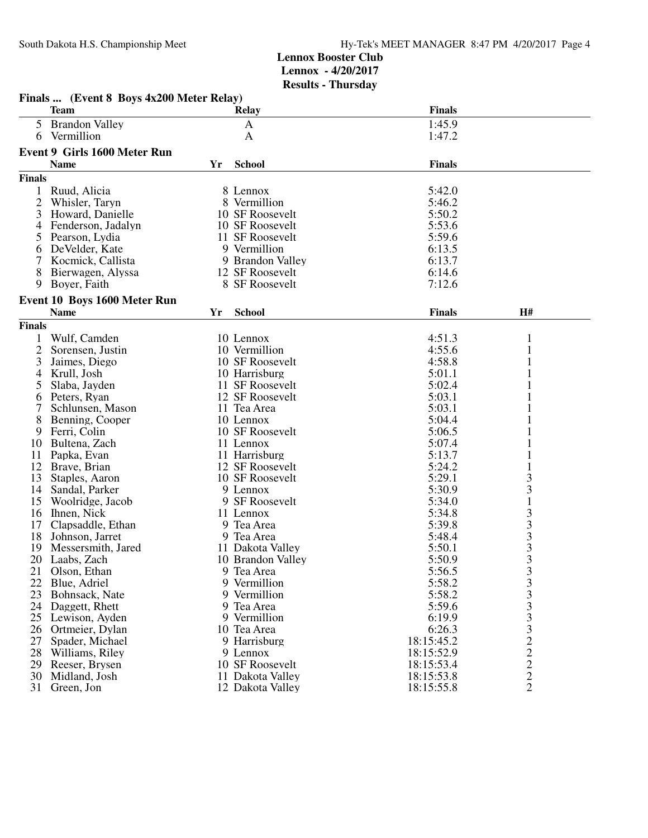|                | Finals  (Event 8 Boys 4x200 Meter Relay)    |    |                                     |                  |                |
|----------------|---------------------------------------------|----|-------------------------------------|------------------|----------------|
|                | <b>Team</b>                                 |    | Relay                               | <b>Finals</b>    |                |
| 5              | <b>Brandon Valley</b>                       |    | A                                   | 1:45.9           |                |
| 6              | Vermillion                                  |    | A                                   | 1:47.2           |                |
|                |                                             |    |                                     |                  |                |
|                | Event 9 Girls 1600 Meter Run<br><b>Name</b> |    |                                     | <b>Finals</b>    |                |
|                |                                             | Yr | <b>School</b>                       |                  |                |
| <b>Finals</b>  |                                             |    |                                     |                  |                |
| 1              | Ruud, Alicia                                |    | 8 Lennox                            | 5:42.0           |                |
| $\overline{2}$ | Whisler, Taryn                              |    | 8 Vermillion                        | 5:46.2           |                |
| 3              | Howard, Danielle                            |    | 10 SF Roosevelt                     | 5:50.2           |                |
| 4              | Fenderson, Jadalyn                          |    | 10 SF Roosevelt                     | 5:53.6           |                |
| 5              | Pearson, Lydia                              |    | 11 SF Roosevelt                     | 5:59.6           |                |
| 6              | DeVelder, Kate                              |    | 9 Vermillion                        | 6:13.5<br>6:13.7 |                |
|                | Kocmick, Callista                           |    | 9 Brandon Valley<br>12 SF Roosevelt |                  |                |
| 8<br>9         | Bierwagen, Alyssa<br>Boyer, Faith           |    | 8 SF Roosevelt                      | 6:14.6<br>7:12.6 |                |
|                |                                             |    |                                     |                  |                |
|                | Event 10 Boys 1600 Meter Run                |    |                                     |                  |                |
|                | <b>Name</b>                                 | Yr | <b>School</b>                       | <b>Finals</b>    | H#             |
| <b>Finals</b>  |                                             |    |                                     |                  |                |
| 1              | Wulf, Camden                                |    | 10 Lennox                           | 4:51.3           | 1              |
| 2              | Sorensen, Justin                            |    | 10 Vermillion                       | 4:55.6           | 1              |
| 3              | Jaimes, Diego                               |    | 10 SF Roosevelt                     | 4:58.8           |                |
| 4              | Krull, Josh                                 |    | 10 Harrisburg                       | 5:01.1           |                |
| 5              | Slaba, Jayden                               |    | 11 SF Roosevelt                     | 5:02.4           |                |
| 6              | Peters, Ryan                                |    | 12 SF Roosevelt                     | 5:03.1           |                |
| 7              | Schlunsen, Mason                            |    | 11 Tea Area                         | 5:03.1           |                |
| 8              | Benning, Cooper                             |    | 10 Lennox                           | 5:04.4           |                |
| 9              | Ferri, Colin                                |    | 10 SF Roosevelt                     | 5:06.5           |                |
| 10             | Bultena, Zach                               |    | 11 Lennox                           | 5:07.4           |                |
| 11             | Papka, Evan                                 |    | 11 Harrisburg                       | 5:13.7           |                |
| 12             | Brave, Brian                                |    | 12 SF Roosevelt                     | 5:24.2           |                |
| 13             | Staples, Aaron                              |    | 10 SF Roosevelt                     | 5:29.1           | 3              |
| 14             | Sandal, Parker                              |    | 9 Lennox                            | 5:30.9           | 3              |
| 15             | Woolridge, Jacob                            |    | 9 SF Roosevelt                      | 5:34.0           | $\mathbf{1}$   |
| 16             | Ihnen, Nick                                 |    | 11 Lennox                           | 5:34.8           | 3              |
| 17             | Clapsaddle, Ethan                           |    | 9 Tea Area                          | 5:39.8           | 3              |
| 18             | Johnson, Jarret<br>Messersmith, Jared       |    | 9 Tea Area<br>11 Dakota Valley      | 5:48.4           | 3<br>3         |
| 19             | 20 Laabs, Zach                              |    | 10 Brandon Valley                   | 5:50.1<br>5:50.9 | 3              |
| 21             | Olson, Ethan                                |    | 9 Tea Area                          | 5:56.5           |                |
| 22             | Blue, Adriel                                |    | 9 Vermillion                        | 5:58.2           |                |
| 23             | Bohnsack, Nate                              |    | 9 Vermillion                        | 5:58.2           |                |
| 24             | Daggett, Rhett                              |    | 9 Tea Area                          | 5:59.6           |                |
| 25             | Lewison, Ayden                              |    | 9 Vermillion                        | 6:19.9           |                |
| 26             | Ortmeier, Dylan                             |    | 10 Tea Area                         | 6:26.3           |                |
| 27             | Spader, Michael                             |    | 9 Harrisburg                        | 18:15:45.2       |                |
| 28             | Williams, Riley                             |    | 9 Lennox                            | 18:15:52.9       |                |
| 29             | Reeser, Brysen                              |    | 10 SF Roosevelt                     | 18:15:53.4       |                |
| 30             | Midland, Josh                               |    | 11 Dakota Valley                    | 18:15:53.8       | 33333222       |
| 31             | Green, Jon                                  |    | 12 Dakota Valley                    | 18:15:55.8       | $\overline{2}$ |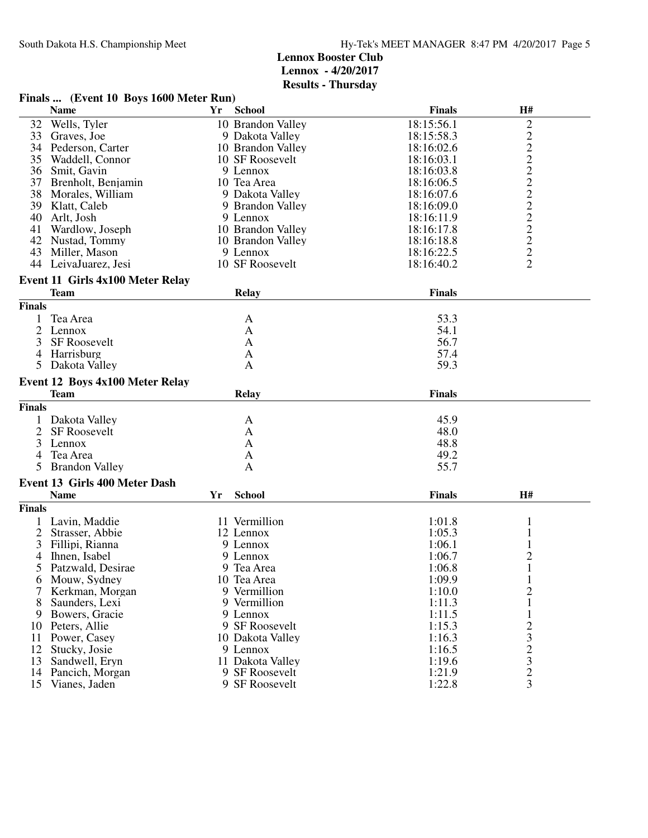|                | Finals  (Event 10 Boys 1600 Meter Run) |    |                   |               |                                                 |
|----------------|----------------------------------------|----|-------------------|---------------|-------------------------------------------------|
|                | <b>Name</b>                            | Yr | <b>School</b>     | <b>Finals</b> | H#                                              |
| 32             | Wells, Tyler                           |    | 10 Brandon Valley | 18:15:56.1    |                                                 |
| 33             | Graves, Joe                            |    | 9 Dakota Valley   | 18:15:58.3    | 22222222222                                     |
| 34             | Pederson, Carter                       |    | 10 Brandon Valley | 18:16:02.6    |                                                 |
| 35             | Waddell, Connor                        |    | 10 SF Roosevelt   | 18:16:03.1    |                                                 |
| 36             | Smit, Gavin                            |    | 9 Lennox          | 18:16:03.8    |                                                 |
|                | 37 Brenholt, Benjamin                  |    | 10 Tea Area       | 18:16:06.5    |                                                 |
| 38             | Morales, William                       |    | 9 Dakota Valley   | 18:16:07.6    |                                                 |
| 39             | Klatt, Caleb                           |    | 9 Brandon Valley  | 18:16:09.0    |                                                 |
| 40             | Arlt, Josh                             |    | 9 Lennox          | 18:16:11.9    |                                                 |
| 41             | Wardlow, Joseph                        |    | 10 Brandon Valley | 18:16:17.8    |                                                 |
| 42             | Nustad, Tommy                          |    | 10 Brandon Valley | 18:16:18.8    |                                                 |
| 43             | Miller, Mason                          |    | 9 Lennox          | 18:16:22.5    |                                                 |
|                | 44 LeivaJuarez, Jesi                   |    | 10 SF Roosevelt   | 18:16:40.2    |                                                 |
|                | Event 11 Girls 4x100 Meter Relay       |    |                   |               |                                                 |
|                | <b>Team</b>                            |    | <b>Relay</b>      | <b>Finals</b> |                                                 |
| <b>Finals</b>  |                                        |    |                   |               |                                                 |
|                | Tea Area                               |    | A                 | 53.3          |                                                 |
| 2              | Lennox                                 |    | A                 | 54.1          |                                                 |
| 3              | <b>SF Roosevelt</b>                    |    | A                 | 56.7          |                                                 |
| 4              | Harrisburg                             |    | A                 | 57.4          |                                                 |
| 5              | Dakota Valley                          |    | A                 | 59.3          |                                                 |
|                | <b>Event 12 Boys 4x100 Meter Relay</b> |    |                   |               |                                                 |
|                | <b>Team</b>                            |    | <b>Relay</b>      | <b>Finals</b> |                                                 |
| <b>Finals</b>  |                                        |    |                   |               |                                                 |
| 1              | Dakota Valley                          |    | A                 | 45.9          |                                                 |
| $\overline{2}$ | <b>SF Roosevelt</b>                    |    | A                 | 48.0          |                                                 |
| 3              | Lennox                                 |    | A                 | 48.8          |                                                 |
| 4              | Tea Area                               |    | A                 | 49.2          |                                                 |
|                | <b>Brandon Valley</b>                  |    | A                 | 55.7          |                                                 |
|                | Event 13 Girls 400 Meter Dash          |    |                   |               |                                                 |
|                | <b>Name</b>                            | Yr | <b>School</b>     | <b>Finals</b> | H#                                              |
| <b>Finals</b>  |                                        |    |                   |               |                                                 |
|                | Lavin, Maddie                          |    | 11 Vermillion     | 1:01.8        | $\mathbf{1}$                                    |
| $\overline{2}$ | Strasser, Abbie                        |    | 12 Lennox         | 1:05.3        | $\mathbf{1}$                                    |
| 3              | Fillipi, Rianna                        |    | 9 Lennox          | 1:06.1        |                                                 |
| 4              | Ihnen, Isabel                          |    | 9 Lennox          | 1:06.7        | $\overline{c}$                                  |
| $\mathcal{L}$  | Patzwald, Desirae                      |    | 9 Tea Area        | 1:06.8        | 1                                               |
| 6              | Mouw, Sydney                           |    | 10 Tea Area       | 1:09.9        | $\mathbf{1}$                                    |
| 7              | Kerkman, Morgan                        |    | 9 Vermillion      | 1:10.0        | $\overline{c}$                                  |
| 8              | Saunders, Lexi                         |    | 9 Vermillion      | 1:11.3        | $\mathbf{1}$                                    |
| 9              | Bowers, Gracie                         |    | 9 Lennox          | 1:11.5        | 1                                               |
| 10             | Peters, Allie                          |    | 9 SF Roosevelt    | 1:15.3        |                                                 |
| 11             | Power, Casey                           |    | 10 Dakota Valley  | 1:16.3        |                                                 |
| 12             | Stucky, Josie                          |    | 9 Lennox          | 1:16.5        | $\frac{2}{3}$<br>$\frac{3}{2}$<br>$\frac{2}{3}$ |
| 13             | Sandwell, Eryn                         |    | 11 Dakota Valley  | 1:19.6        |                                                 |
| 14             | Pancich, Morgan                        |    | 9 SF Roosevelt    | 1:21.9        |                                                 |
|                | 15 Vianes, Jaden                       |    | 9 SF Roosevelt    | 1:22.8        |                                                 |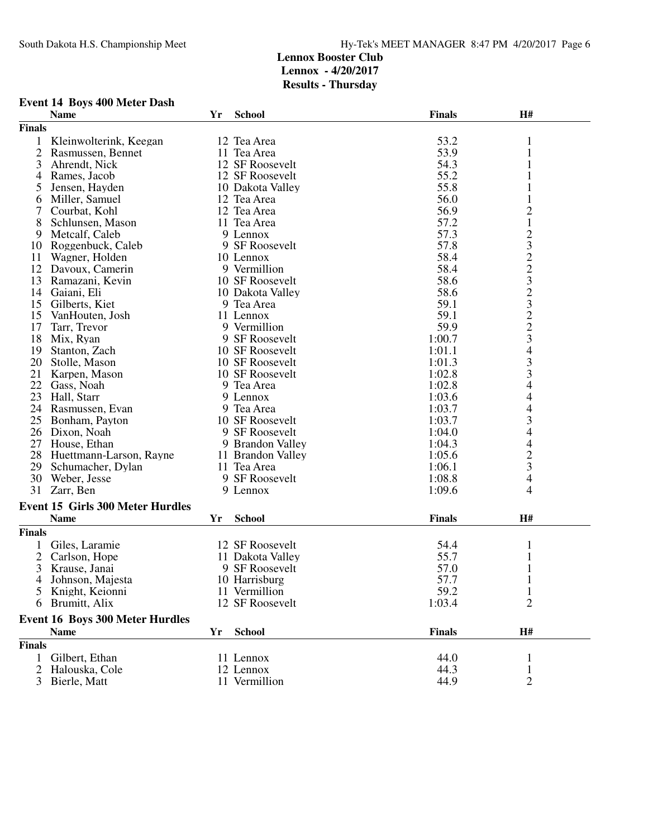# **Event 14 Boys 400 Meter Dash**

|                | EVENT 17 DOYS TOO MEET DASH<br><b>Name</b>            | Yr | <b>School</b>     | <b>Finals</b> | H#                      |  |
|----------------|-------------------------------------------------------|----|-------------------|---------------|-------------------------|--|
| <b>Finals</b>  |                                                       |    |                   |               |                         |  |
| 1              | Kleinwolterink, Keegan                                |    | 12 Tea Area       | 53.2          | 1                       |  |
| $\overline{2}$ | Rasmussen, Bennet                                     |    | 11 Tea Area       | 53.9          | 1                       |  |
| 3              | Ahrendt, Nick                                         |    | 12 SF Roosevelt   | 54.3          |                         |  |
| 4              | Rames, Jacob                                          |    | 12 SF Roosevelt   | 55.2          |                         |  |
| 5              | Jensen, Hayden                                        |    | 10 Dakota Valley  | 55.8          |                         |  |
| 6              | Miller, Samuel                                        |    | 12 Tea Area       | 56.0          |                         |  |
| 7              | Courbat, Kohl                                         |    | 12 Tea Area       | 56.9          | $\overline{\mathbf{c}}$ |  |
| 8              | Schlunsen, Mason                                      |    | 11 Tea Area       | 57.2          | $\mathbf{1}$            |  |
| 9              | Metcalf, Caleb                                        |    | 9 Lennox          | 57.3          |                         |  |
| 10             | Roggenbuck, Caleb                                     |    | 9 SF Roosevelt    | 57.8          | $\frac{2}{3}$           |  |
| 11             | Wagner, Holden                                        |    | 10 Lennox         | 58.4          |                         |  |
|                |                                                       |    | 9 Vermillion      | 58.4          | $22323$<br>$2323$       |  |
| 13             | 12 Davoux, Camerin                                    |    | 10 SF Roosevelt   | 58.6          |                         |  |
|                | Ramazani, Kevin                                       |    |                   |               |                         |  |
|                | 14 Gaiani, Eli                                        |    | 10 Dakota Valley  | 58.6          |                         |  |
| 15             | Gilberts, Kiet                                        |    | 9 Tea Area        | 59.1          |                         |  |
| 15             | VanHouten, Josh                                       |    | 11 Lennox         | 59.1          |                         |  |
| 17             | Tarr, Trevor                                          |    | 9 Vermillion      | 59.9          |                         |  |
| 18             | Mix, Ryan                                             |    | 9 SF Roosevelt    | 1:00.7        |                         |  |
| 19             | Stanton, Zach                                         |    | 10 SF Roosevelt   | 1:01.1        | $\overline{4}$          |  |
| 20             | Stolle, Mason                                         |    | 10 SF Roosevelt   | 1:01.3        | 3                       |  |
| 21             | Karpen, Mason                                         |    | 10 SF Roosevelt   | 1:02.8        | 3                       |  |
| 22             | Gass, Noah                                            |    | 9 Tea Area        | 1:02.8        | 4                       |  |
| 23             | Hall, Starr                                           |    | 9 Lennox          | 1:03.6        | 4                       |  |
|                | 24 Rasmussen, Evan                                    |    | 9 Tea Area        | 1:03.7        | 4                       |  |
|                | 25 Bonham, Payton                                     |    | 10 SF Roosevelt   | 1:03.7        | 3                       |  |
|                | 26 Dixon, Noah                                        |    | 9 SF Roosevelt    | 1:04.0        | 4                       |  |
|                | 27 House, Ethan                                       |    | 9 Brandon Valley  | 1:04.3        | $\overline{4}$          |  |
| 28             | Huettmann-Larson, Rayne                               |    | 11 Brandon Valley | 1:05.6        | $\overline{c}$          |  |
| 29             | Schumacher, Dylan                                     |    | 11 Tea Area       | 1:06.1        | $\overline{\mathbf{3}}$ |  |
|                | 30 Weber, Jesse                                       |    | 9 SF Roosevelt    | 1:08.8        | 4                       |  |
|                | 31 Zarr, Ben                                          |    | 9 Lennox          | 1:09.6        | 4                       |  |
|                | <b>Event 15 Girls 300 Meter Hurdles</b>               |    |                   |               |                         |  |
|                | <b>Name</b>                                           | Yr | <b>School</b>     | <b>Finals</b> | H#                      |  |
| <b>Finals</b>  |                                                       |    |                   |               |                         |  |
|                |                                                       |    | 12 SF Roosevelt   | 54.4          |                         |  |
| 1              | Giles, Laramie                                        |    |                   | 55.7          | 1                       |  |
| 2              | Carlson, Hope                                         |    | 11 Dakota Valley  |               |                         |  |
| 3              | Krause, Janai                                         |    | 9 SF Roosevelt    | 57.0          |                         |  |
|                | 4 Johnson, Majesta                                    |    | 10 Harrisburg     | 57.7          | $\mathbf{1}$            |  |
|                | 5 Knight, Keionni                                     |    | 11 Vermillion     | 59.2          | $\mathbf{1}$            |  |
| 6              | Brumitt, Alix                                         |    | 12 SF Roosevelt   | 1:03.4        | $\overline{2}$          |  |
|                | <b>Event 16 Boys 300 Meter Hurdles</b><br><b>Name</b> | Yr | <b>School</b>     | <b>Finals</b> | H#                      |  |
|                |                                                       |    |                   |               |                         |  |
| <b>Finals</b>  |                                                       |    |                   |               |                         |  |
| 1              | Gilbert, Ethan                                        |    | 11 Lennox         | 44.0          | 1                       |  |
| $\overline{2}$ | Halouska, Cole                                        |    | 12 Lennox         | 44.3          | $\mathbf{1}$            |  |
|                | 3 Bierle, Matt                                        |    | 11 Vermillion     | 44.9          | $\overline{2}$          |  |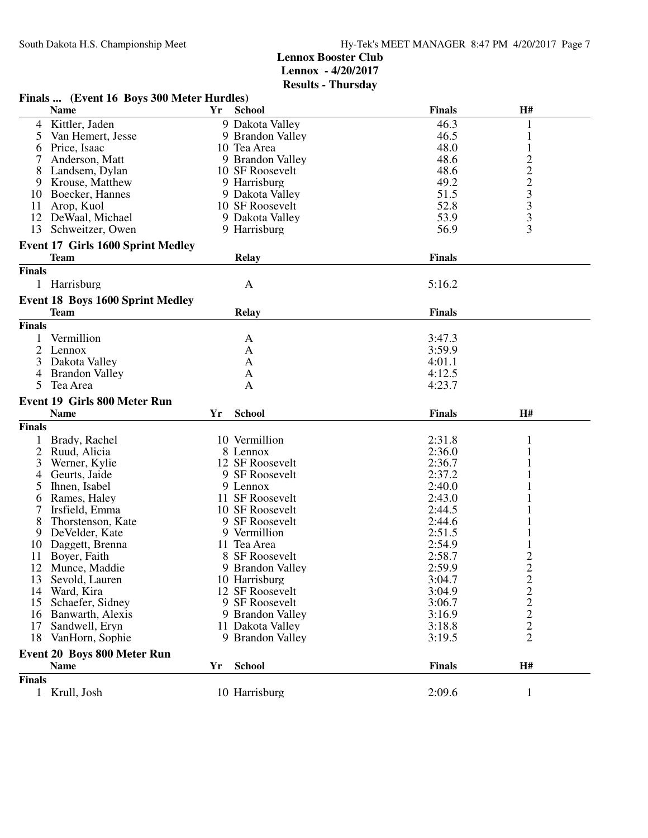|                               | Finals  (Event 16 Boys 300 Meter Hurdles) |    | <b>THAT SAM</b>  |               |                                           |  |
|-------------------------------|-------------------------------------------|----|------------------|---------------|-------------------------------------------|--|
|                               | <b>Name</b>                               | Yr | <b>School</b>    | <b>Finals</b> | H#                                        |  |
| $\overline{4}$                | Kittler, Jaden                            |    | 9 Dakota Valley  | 46.3          | 1                                         |  |
| 5                             | Van Hemert, Jesse                         |    | 9 Brandon Valley | 46.5          | $\mathbf{1}$                              |  |
| 6                             | Price, Isaac                              |    | 10 Tea Area      | 48.0          | $\mathbf{1}$                              |  |
|                               | Anderson, Matt                            |    | 9 Brandon Valley | 48.6          |                                           |  |
| 8                             | Landsem, Dylan                            |    | 10 SF Roosevelt  | 48.6          | 22233333                                  |  |
| 9                             | Krouse, Matthew                           |    | 9 Harrisburg     | 49.2          |                                           |  |
| 10                            | Boecker, Hannes                           |    | 9 Dakota Valley  | 51.5          |                                           |  |
| 11                            | Arop, Kuol                                |    | 10 SF Roosevelt  | 52.8          |                                           |  |
| 12                            | DeWaal, Michael                           |    | 9 Dakota Valley  | 53.9          |                                           |  |
| 13                            | Schweitzer, Owen                          |    | 9 Harrisburg     | 56.9          |                                           |  |
|                               |                                           |    |                  |               |                                           |  |
|                               | <b>Event 17 Girls 1600 Sprint Medley</b>  |    |                  |               |                                           |  |
|                               | <b>Team</b>                               |    | <b>Relay</b>     | <b>Finals</b> |                                           |  |
| <b>Finals</b>                 |                                           |    |                  |               |                                           |  |
|                               | 1 Harrisburg                              |    | $\mathbf{A}$     | 5:16.2        |                                           |  |
|                               | <b>Event 18 Boys 1600 Sprint Medley</b>   |    |                  |               |                                           |  |
|                               | <b>Team</b>                               |    | <b>Relay</b>     | <b>Finals</b> |                                           |  |
| <b>Finals</b>                 |                                           |    |                  |               |                                           |  |
| 1                             | Vermillion                                |    | A                | 3:47.3        |                                           |  |
| 2                             | Lennox                                    |    | A                | 3:59.9        |                                           |  |
| 3                             | Dakota Valley                             |    |                  | 4:01.1        |                                           |  |
|                               |                                           |    | A                |               |                                           |  |
| 4                             | <b>Brandon Valley</b>                     |    | A                | 4:12.5        |                                           |  |
| 5                             | Tea Area                                  |    | A                | 4:23.7        |                                           |  |
|                               | <b>Event 19 Girls 800 Meter Run</b>       |    |                  |               |                                           |  |
|                               | <b>Name</b>                               | Yr | <b>School</b>    | <b>Finals</b> | H#                                        |  |
| <b>Finals</b>                 |                                           |    |                  |               |                                           |  |
|                               | Brady, Rachel                             |    | 10 Vermillion    | 2:31.8        | $\mathbf 1$                               |  |
| 2                             | Ruud, Alicia                              |    | 8 Lennox         | 2:36.0        | 1                                         |  |
| 3                             | Werner, Kylie                             |    | 12 SF Roosevelt  | 2:36.7        | 1                                         |  |
| 4                             | Geurts, Jaide                             |    | 9 SF Roosevelt   | 2:37.2        |                                           |  |
| 5                             | Ihnen, Isabel                             |    | 9 Lennox         | 2:40.0        |                                           |  |
| 6                             | Rames, Haley                              |    | 11 SF Roosevelt  | 2:43.0        |                                           |  |
| 7                             | Irsfield, Emma                            |    | 10 SF Roosevelt  | 2:44.5        |                                           |  |
| 8                             | Thorstenson, Kate                         |    | 9 SF Roosevelt   | 2:44.6        |                                           |  |
| 9                             | De Velder, Kate                           |    | 9 Vermillion     | 2:51.5        |                                           |  |
|                               |                                           |    | 11 Tea Area      | 2:54.9        |                                           |  |
| 10                            | Daggett, Brenna                           |    |                  |               | $\overline{2}$                            |  |
| 11                            | Boyer, Faith                              |    | 8 SF Roosevelt   | 2:58.7        |                                           |  |
| 12                            | Munce, Maddie                             |    | 9 Brandon Valley | 2:59.9        |                                           |  |
| 13                            | Sevold, Lauren                            |    | 10 Harrisburg    | 3:04.7        | $\frac{2}{2}$ $\frac{2}{2}$ $\frac{2}{2}$ |  |
| 14                            | Ward, Kira                                |    | 12 SF Roosevelt  | 3:04.9        |                                           |  |
| 15                            | Schaefer, Sidney                          |    | 9 SF Roosevelt   | 3:06.7        |                                           |  |
| 16                            | Banwarth, Alexis                          |    | 9 Brandon Valley | 3:16.9        |                                           |  |
| 17                            | Sandwell, Eryn                            |    | 11 Dakota Valley | 3:18.8        |                                           |  |
| 18                            | VanHorn, Sophie                           |    | 9 Brandon Valley | 3:19.5        | $\overline{2}$                            |  |
|                               | <b>Event 20 Boys 800 Meter Run</b>        |    |                  |               |                                           |  |
|                               | <b>Name</b>                               | Yr | <b>School</b>    | <b>Finals</b> | H#                                        |  |
|                               |                                           |    |                  |               |                                           |  |
|                               |                                           |    |                  |               |                                           |  |
| <b>Finals</b><br>$\mathbf{1}$ | Krull, Josh                               |    | 10 Harrisburg    | 2:09.6        | $\mathbf{1}$                              |  |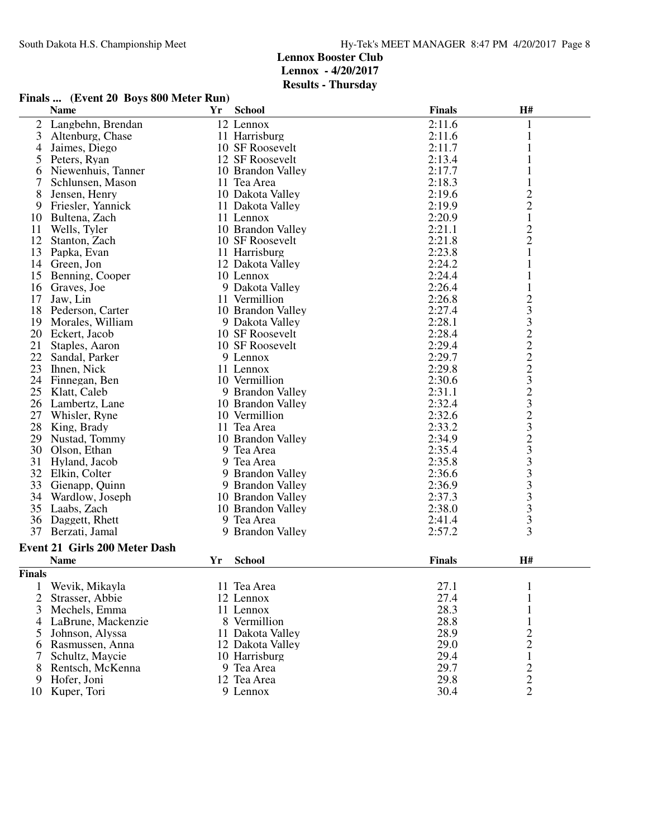|                | <b>Name</b>                   | Yr | <b>School</b>                      | <b>Finals</b> | H#                               |
|----------------|-------------------------------|----|------------------------------------|---------------|----------------------------------|
|                | 2 Langbehn, Brendan           |    | 12 Lennox                          | 2:11.6        | 1                                |
| 3              | Altenburg, Chase              |    | 11 Harrisburg                      | 2:11.6        | $\mathbf{1}$                     |
| 4              | Jaimes, Diego                 |    | 10 SF Roosevelt                    | 2:11.7        | $\mathbf{1}$                     |
| 5              | Peters, Ryan                  |    | 12 SF Roosevelt                    | 2:13.4        | 1                                |
| 6              | Niewenhuis, Tanner            |    | 10 Brandon Valley                  | 2:17.7        | 1                                |
| 7              | Schlunsen, Mason              |    | 11 Tea Area                        | 2:18.3        | $\mathbf{1}$                     |
| 8              | Jensen, Henry                 |    | 10 Dakota Valley                   | 2:19.6        | $\overline{c}$                   |
| 9              | Friesler, Yannick             |    | 11 Dakota Valley                   | 2:19.9        | $\overline{c}$                   |
| 10             | Bultena, Zach                 |    | 11 Lennox                          | 2:20.9        | $\,1$                            |
| 11             | Wells, Tyler                  |    | 10 Brandon Valley                  | 2:21.1        |                                  |
| 12             | Stanton, Zach                 |    | 10 SF Roosevelt                    | 2:21.8        | $\frac{2}{2}$                    |
| 13             | Papka, Evan                   |    | 11 Harrisburg                      | 2:23.8        | $\mathbf 1$                      |
| 14             | Green, Jon                    |    | 12 Dakota Valley                   | 2:24.2        | $\mathbf{1}$                     |
| 15             | Benning, Cooper               |    | 10 Lennox                          | 2:24.4        | $\mathbf{1}$                     |
| 16             | Graves, Joe                   |    | 9 Dakota Valley                    | 2:26.4        | $\mathbf{1}$                     |
| 17             | Jaw, Lin                      |    | 11 Vermillion                      | 2:26.8        |                                  |
| 18             | Pederson, Carter              |    | 10 Brandon Valley                  | 2:27.4        |                                  |
| 19             | Morales, William              |    | 9 Dakota Valley                    | 2:28.1        |                                  |
|                | 20 Eckert, Jacob              |    |                                    | 2:28.4        |                                  |
| 21             |                               |    | 10 SF Roosevelt<br>10 SF Roosevelt | 2:29.4        |                                  |
|                | Staples, Aaron                |    |                                    |               |                                  |
| 22             | Sandal, Parker                |    | 9 Lennox                           | 2:29.7        |                                  |
| 23             | Ihnen, Nick                   |    | 11 Lennox                          | 2:29.8        |                                  |
| 24             | Finnegan, Ben                 |    | 10 Vermillion                      | 2:30.6        | 2332222323233333333              |
| 25             | Klatt, Caleb                  |    | 9 Brandon Valley                   | 2:31.1        |                                  |
| 26             | Lambertz, Lane                |    | 10 Brandon Valley                  | 2:32.4        |                                  |
| 27             | Whisler, Ryne                 |    | 10 Vermillion                      | 2:32.6        |                                  |
| 28             | King, Brady                   |    | 11 Tea Area                        | 2:33.2        |                                  |
| 29             | Nustad, Tommy                 |    | 10 Brandon Valley                  | 2:34.9        |                                  |
| 30             | Olson, Ethan                  |    | 9 Tea Area                         | 2:35.4        |                                  |
| 31             | Hyland, Jacob                 |    | 9 Tea Area                         | 2:35.8        |                                  |
|                | 32 Elkin, Colter              |    | 9 Brandon Valley                   | 2:36.6        |                                  |
| 33             | Gienapp, Quinn                |    | 9 Brandon Valley                   | 2:36.9        |                                  |
|                | 34 Wardlow, Joseph            |    | 10 Brandon Valley                  | 2:37.3        |                                  |
| 35             | Laabs, Zach                   |    | 10 Brandon Valley                  | 2:38.0        |                                  |
| 36             | Daggett, Rhett                |    | 9 Tea Area                         | 2:41.4        |                                  |
| 37             | Berzati, Jamal                |    | 9 Brandon Valley                   | 2:57.2        | $\overline{3}$                   |
|                | Event 21 Girls 200 Meter Dash |    |                                    |               |                                  |
|                | <b>Name</b>                   | Yr | <b>School</b>                      | <b>Finals</b> | H#                               |
| <b>Finals</b>  |                               |    |                                    |               |                                  |
| 1              | Wevik, Mikayla                |    | 11 Tea Area                        | 27.1          | 1                                |
| $\overline{2}$ | Strasser, Abbie               |    | 12 Lennox                          | 27.4          |                                  |
| 3              | Mechels, Emma                 |    | 11 Lennox                          | 28.3          | 1                                |
| 4              | LaBrune, Mackenzie            |    | 8 Vermillion                       | 28.8          | $\mathbf{1}$                     |
| 5              | Johnson, Alyssa               |    | 11 Dakota Valley                   | 28.9          | $\overline{2}$                   |
| 6              | Rasmussen, Anna               |    | 12 Dakota Valley                   | 29.0          | $\overline{2}$                   |
| 7              | Schultz, Maycie               |    | 10 Harrisburg                      | 29.4          | $\mathbf{1}$                     |
| 8              | Rentsch, McKenna              |    | 9 Tea Area                         | 29.7          | $\overline{c}$                   |
| 9              | Hofer, Joni                   |    | 12 Tea Area                        | 29.8          |                                  |
| 10             | Kuper, Tori                   |    | 9 Lennox                           | 30.4          | $\overline{c}$<br>$\overline{2}$ |
|                |                               |    |                                    |               |                                  |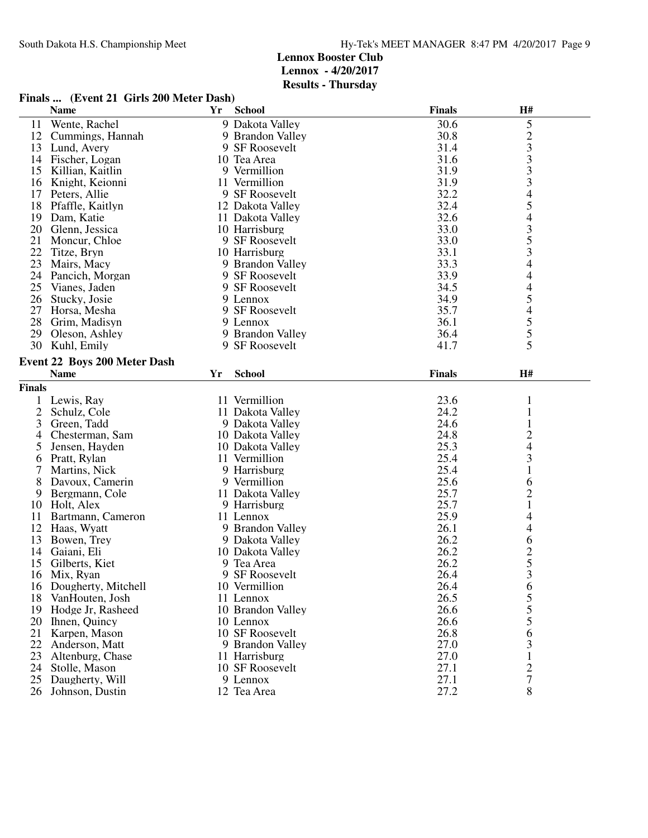26 Johnson, Dustin

### **Lennox Booster Club Lennox - 4/20/2017 Results - Thursday**

#### **Finals ...** (Event 21 Girls 200 Meter Dash)<br>Name Yr School **Name Yr School Finals H#** 11 Wente, Rachel 9 Dakota Valley 30.6 5<br>12 Cummings, Hannah 9 Brandon Valley 30.8 2 12 Cummings, Hannah 9 Brandon Valley 30.8 2<br>13 Lund. Avery 9 SF Roosevelt 31.4 3 13 Lund, Avery 9 SF Roosevelt 31.4 3<br>
14 Fischer, Logan 10 Tea Area 31.6 3<br>
15 Killian, Kaitlin 9 Vermillion 31.9 3 14 Fischer, Logan 10 Tea Area 10 Tea Area 31.6 31.6 31.6 31.6 15 Killian, Kaitlin 16 Killian, Kaitlin 16 Killian, Kaitlin 16 Stephen 11 Vermillion 16 Stephen 16 Killian, Keionni 11 Vermillion 16 Stephen 16 Stephen 16 Stephen 16 Stephen 16 Stephen 16 Stephen 16 Stephen 16 Stephen 16 S 16 Knight, Keionni 11 Vermillion 31.9 3<br>17 Peters, Allie 32.2 4 17 Peters, Allie 18 9 SF Roosevelt 18 Pfaffle. Kaitlyn 12 Dakota Valley 18 2.2 4 5 18 Pfaffle, Kaitlyn 12 Dakota Valley 32.4 5<br>19 Dam. Katie 11 Dakota Valley 32.6 4 19 Dam, Katie 11 Dakota Valley 19 Dam, Katie 11 Dakota Valley 32.6 4<br>20 Glenn, Jessica 10 Harrisburg 133.0 3 20 Glenn, Jessica 10 Harrisburg 33.0 3<br>21 Moncur. Chloe 9 SF Roosevelt 33.0 5 21 Moncovelt 33.0 5<br>10 Harrisburg 33.1 3 22 Titze, Bryn 10 Harrisburg 33.1 3<br>23 Mairs, Macy 9 Brandon Valley 33.3 4 23 Mairs, Macy 9 Brandon Valley 33.3 4<br>24 Pancich, Morgan 9 SF Roosevelt 33.9 4 24 Pancich, Morgan 9 SF Roosevelt 33.9 4<br>25 Vianes, Jaden 9 SF Roosevelt 34.5 4 25 Vianes, Jaden 9 SF Roosevelt 34.5 4<br>26 Stucky, Josie 9 Lennox 34.9 5 26 Stucky, Josie 9 Lennox 34.9 5 27 Horsa, Mesha 9 SF Roosevelt 35.7 4 28 Grim, Madisyn 9 Lennox 36.1 5<br>29 Oleson, Ashley 9 Brandon Valley 36.4 5 29 Oleson, Ashley 9 Brandon Valley 36.4 5 30 Kuhl, Emily **Event 22 Boys 200 Meter Dash Name Yr School Finals H# Finals** 1 Lewis, Ray 11 Vermillion 11 Vermillion 23.6 1<br>2 Schulz, Cole 11 Dakota Valley 24.2 1 24.2 Schulz, Cole 11 Dakota Valley 24.2 1<br>
24.6 1 9 Dakota Valley 24.6 1 3 Green, Tadd 9 Dakota Valley 24.6 1<br>
4 Chesterman, Sam 10 Dakota Valley 24.8 2 4 Chesterman, Sam 10 Dakota Valley 24.8 2<br>5 Jensen, Havden 10 Dakota Valley 25.3 4 10 Dakota Valley 25.3 4<br>11 Vermillion 25.4 3 6 Pratt, Rylan 11 Vermillion 25.4 3 Martins, Nick 9 Harrisburg 25.4 1<br>Davoux, Camerin 9 Vermillion 25.6 6 8 Davoux, Camerin 9 Vermillion 25.6 6 6<br>
9 Bergmann, Cole 11 Dakota Valley 25.7 2 9 Bergmann, Cole 11 Dakota Valley 25.7 2<br>
9 Harrisburg 25.7 2<br>
1 9 Harrisburg 25.7 2 10 Holt, Alex 1 9 Harrisburg 25.7 1 1<br>11 Bartmann, Cameron 11 Lennox 25.9 4 11 Bartmann, Cameron 11 Lennox 25.9 4<br>12 Haas, Wyatt 9 Brandon Valley 26.1 4 12 Haas, Wyatt 13 Bowen, Trev 13 Bowen, Trev 13 Bowen, Trev 13 Bowen, Trev 14 Bowen, 26.1 and 14 Bowen, 26.2 and 14 Bowen, 26.2 and 14 Bowen, 26.2 and 14 Bowen, 26.2 and 14 Bowen, 26.2 and 14 Bowen, 26.2 and 14 Bowen, 26.2 13 Bowen, Trey 14 Gaiani, Eli 19 Dakota Valley 26.2 6<br>14 Gaiani, Eli 10 Dakota Valley 26.2 2 14 Gaiani, Eli 10 Dakota Valley 26.2 2<br>15 Gilberts, Kiet 9 Tea Area 26.2 2 15 Gilberts, Kiet 9 Tea Area 26.2 5<br>16 Mix, Ryan 9 SF Roosevelt 26.4 3 16 Mix, Ryan 19 SF Roosevelt 26.4 3<br>16 Dougherty, Mitchell 10 Vermillion 26.4 6 16 Dougherty, Mitchell 10 Vermillion 26.4 6<br>18 VanHouten, Josh 11 Lennox 26.5 5 18 VanHouten, Josh 11 Lennox 26.5 5<br>19 Hodge Jr, Rasheed 10 Brandon Valley 26.6 5 19 Hodge Jr, Rasheed 10 Brandon Valley 26.6 5<br>
10 Lennox 26.6 5<br>
5 20 Ihnen, Quincy 10 Lennox 26.6 5<br>21 Karpen, Mason 10 SF Roosevelt 26.8 6 21 Karpen, Mason 10 SF Roosevelt 26.8 6<br>22 Anderson, Matt 9 Brandon Valley 27.0 3 22 Anderson, Matt 9 Brandon Valley 27.0 3<br>23 Altenburg, Chase 11 Harrisburg 27.0 1 23 Altenburg, Chase 11 Harrisburg 27.0 1<br>
24 Stolle, Mason 10 SF Roosevelt 27.1 2<br>
25 Daugherty, Will 9 Lennox 27.1 7 24 Stolle, Mason 10 SF Roosevelt 27.1 25 Daugherty, Will 25 Daugherty 27.1 27.1 27.1

25 Daugherty, Will 9 Lennox 27.1 26 Johnson, Dustin 21 Tea Area 27.2 3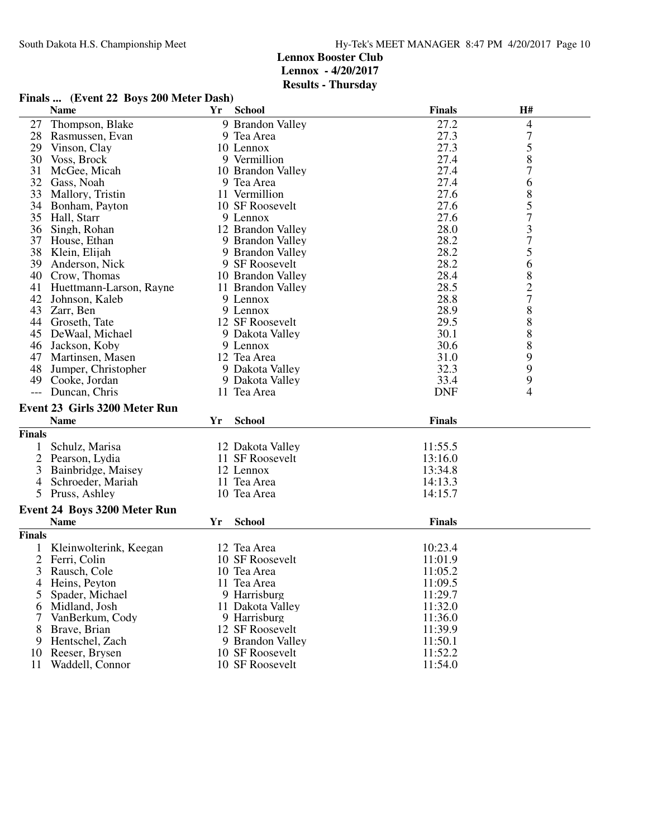|  |  | Finals  (Event 22 Boys 200 Meter Dash) |  |  |  |
|--|--|----------------------------------------|--|--|--|
|--|--|----------------------------------------|--|--|--|

|                | <b>Name</b>                       | Yr | <b>School</b>                      | <b>Finals</b>      | H#                                         |  |
|----------------|-----------------------------------|----|------------------------------------|--------------------|--------------------------------------------|--|
| 27             | Thompson, Blake                   |    | 9 Brandon Valley                   | 27.2               | 4                                          |  |
| 28             | Rasmussen, Evan                   |    | 9 Tea Area                         | 27.3               | $\overline{7}$                             |  |
| 29             | Vinson, Clay                      |    | 10 Lennox                          | 27.3               |                                            |  |
| 30             | Voss, Brock                       |    | 9 Vermillion                       | 27.4               | $\frac{5}{8}$                              |  |
| 31             | McGee, Micah                      |    | 10 Brandon Valley                  | 27.4               | $\overline{7}$                             |  |
| 32             | Gass, Noah                        |    | 9 Tea Area                         | 27.4               | 6                                          |  |
| 33             | Mallory, Tristin                  |    | 11 Vermillion                      | 27.6               | 8                                          |  |
| 34             | Bonham, Payton                    |    | 10 SF Roosevelt                    | 27.6               |                                            |  |
| 35             | Hall, Starr                       |    | 9 Lennox                           | 27.6               |                                            |  |
| 36             | Singh, Rohan                      |    | 12 Brandon Valley                  | 28.0               | 5737                                       |  |
| 37             | House, Ethan                      |    | 9 Brandon Valley                   | 28.2               |                                            |  |
| 38             | Klein, Elijah                     |    | 9 Brandon Valley                   | 28.2               | 5                                          |  |
| 39             | Anderson, Nick                    |    | 9 SF Roosevelt                     | 28.2               | 6                                          |  |
|                | 40 Crow, Thomas                   |    | 10 Brandon Valley                  | 28.4               |                                            |  |
| 41             | Huettmann-Larson, Rayne           |    |                                    | 28.5               | $\begin{array}{c} 8 \\ 2 \\ 7 \end{array}$ |  |
| 42             |                                   |    | 11 Brandon Valley<br>9 Lennox      | 28.8               |                                            |  |
|                | Johnson, Kaleb                    |    | 9 Lennox                           |                    |                                            |  |
| 43             | Zarr, Ben                         |    |                                    | 28.9               | 8                                          |  |
|                | 44 Groseth, Tate                  |    | 12 SF Roosevelt                    | 29.5               | 8                                          |  |
|                | 45 DeWaal, Michael                |    | 9 Dakota Valley                    | 30.1               | 8                                          |  |
| 46             | Jackson, Koby                     |    | 9 Lennox                           | 30.6               | 8                                          |  |
| 47             | Martinsen, Masen                  |    | 12 Tea Area                        | 31.0               | 9                                          |  |
| 48             | Jumper, Christopher               |    | 9 Dakota Valley                    | 32.3               | 9                                          |  |
| 49             | Cooke, Jordan                     |    | 9 Dakota Valley                    | 33.4               | 9                                          |  |
| $---$          | Duncan, Chris                     |    | 11 Tea Area                        | <b>DNF</b>         | 4                                          |  |
|                | Event 23 Girls 3200 Meter Run     |    |                                    |                    |                                            |  |
|                | <b>Name</b>                       | Yr | <b>School</b>                      | <b>Finals</b>      |                                            |  |
| <b>Finals</b>  |                                   |    |                                    |                    |                                            |  |
| 1              | Schulz, Marisa                    |    | 12 Dakota Valley                   | 11:55.5            |                                            |  |
|                | 2 Pearson, Lydia                  |    | 11 SF Roosevelt                    | 13:16.0            |                                            |  |
|                |                                   |    |                                    | 13:34.8            |                                            |  |
| 3              | Bainbridge, Maisey                |    | 12 Lennox                          |                    |                                            |  |
| 4              | Schroeder, Mariah                 |    | 11 Tea Area                        | 14:13.3            |                                            |  |
| 5              | Pruss, Ashley                     |    | 10 Tea Area                        | 14:15.7            |                                            |  |
|                | Event 24 Boys 3200 Meter Run      |    |                                    |                    |                                            |  |
|                | <b>Name</b>                       | Yr | <b>School</b>                      | <b>Finals</b>      |                                            |  |
| <b>Finals</b>  |                                   |    |                                    |                    |                                            |  |
|                | Kleinwolterink, Keegan            |    | 12 Tea Area                        | 10:23.4            |                                            |  |
| $\overline{2}$ | Ferri, Colin                      |    | 10 SF Roosevelt                    | 11:01.9            |                                            |  |
| 3              | Rausch, Cole                      |    | 10 Tea Area                        | 11:05.2            |                                            |  |
| 4              | Heins, Peyton                     |    | 11 Tea Area                        | 11:09.5            |                                            |  |
| 5              | Spader, Michael                   |    | 9 Harrisburg                       | 11:29.7            |                                            |  |
| 6              |                                   |    |                                    |                    |                                            |  |
|                |                                   |    |                                    |                    |                                            |  |
|                | Midland, Josh                     |    | 11 Dakota Valley                   | 11:32.0            |                                            |  |
| 7              | VanBerkum, Cody                   |    | 9 Harrisburg                       | 11:36.0            |                                            |  |
| 8              | Brave, Brian                      |    | 12 SF Roosevelt                    | 11:39.9            |                                            |  |
| 9              | Hentschel, Zach                   |    | 9 Brandon Valley                   | 11:50.1            |                                            |  |
| 10<br>11       | Reeser, Brysen<br>Waddell, Connor |    | 10 SF Roosevelt<br>10 SF Roosevelt | 11:52.2<br>11:54.0 |                                            |  |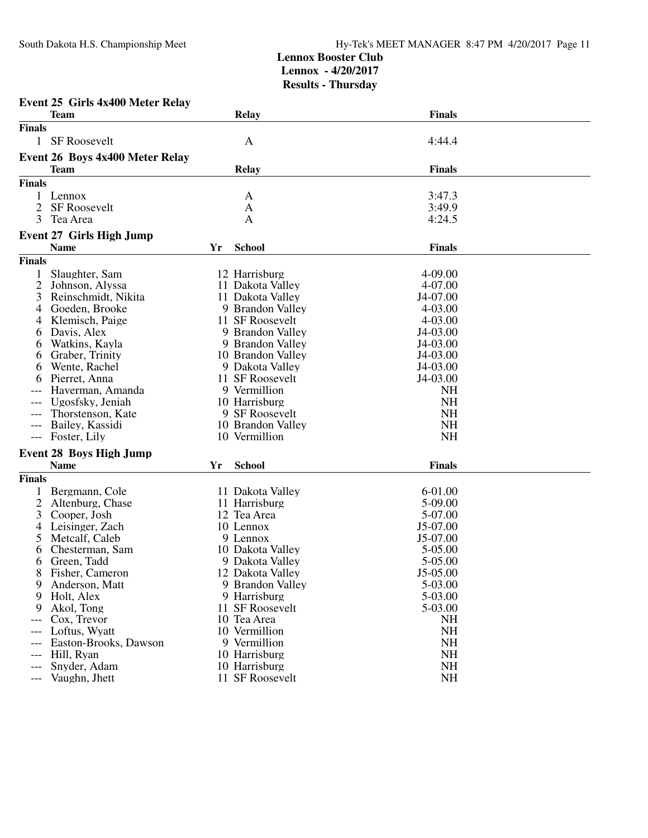|                            | <b>Event 25 Girls 4x400 Meter Relay</b> |    |                   |               |  |
|----------------------------|-----------------------------------------|----|-------------------|---------------|--|
|                            | <b>Team</b>                             |    | Relay             | <b>Finals</b> |  |
| <b>Finals</b>              |                                         |    |                   |               |  |
| $\mathbf{1}$               | <b>SF Roosevelt</b>                     |    | A                 | 4:44.4        |  |
|                            | <b>Event 26 Boys 4x400 Meter Relay</b>  |    |                   |               |  |
|                            | <b>Team</b>                             |    | Relay             | <b>Finals</b> |  |
| <b>Finals</b>              |                                         |    |                   |               |  |
|                            | Lennox                                  |    | A                 | 3:47.3        |  |
| 2                          | <b>SF Roosevelt</b>                     |    | A                 | 3:49.9        |  |
| 3                          | Tea Area                                |    | $\mathbf{A}$      | 4:24.5        |  |
|                            | <b>Event 27 Girls High Jump</b>         |    |                   |               |  |
|                            | <b>Name</b>                             | Yr | <b>School</b>     | <b>Finals</b> |  |
| <b>Finals</b>              |                                         |    |                   |               |  |
| 1                          | Slaughter, Sam                          |    | 12 Harrisburg     | 4-09.00       |  |
| 2                          | Johnson, Alyssa                         |    | 11 Dakota Valley  | 4-07.00       |  |
| 3                          | Reinschmidt, Nikita                     |    | 11 Dakota Valley  | J4-07.00      |  |
| 4                          | Goeden, Brooke                          |    | 9 Brandon Valley  | 4-03.00       |  |
| 4                          | Klemisch, Paige                         |    | 11 SF Roosevelt   | 4-03.00       |  |
| 6                          | Davis, Alex                             |    | 9 Brandon Valley  | J4-03.00      |  |
| 6                          | Watkins, Kayla                          |    | 9 Brandon Valley  | J4-03.00      |  |
| 6                          | Graber, Trinity                         |    | 10 Brandon Valley | J4-03.00      |  |
| 6                          | Wente, Rachel                           |    | 9 Dakota Valley   | J4-03.00      |  |
| 6                          | Pierret, Anna                           |    | 11 SF Roosevelt   | J4-03.00      |  |
|                            | Haverman, Amanda                        |    | 9 Vermillion      | <b>NH</b>     |  |
|                            | Ugosfsky, Jeniah                        |    | 10 Harrisburg     | <b>NH</b>     |  |
| ---                        | Thorstenson, Kate                       |    | 9 SF Roosevelt    | <b>NH</b>     |  |
| $\qquad \qquad - \qquad -$ | Bailey, Kassidi                         |    | 10 Brandon Valley | <b>NH</b>     |  |
| $\qquad \qquad - -$        | Foster, Lily                            |    | 10 Vermillion     | <b>NH</b>     |  |
|                            | <b>Event 28 Boys High Jump</b>          |    |                   |               |  |
|                            | <b>Name</b>                             | Yr | <b>School</b>     | <b>Finals</b> |  |
| <b>Finals</b>              |                                         |    |                   |               |  |
|                            | Bergmann, Cole                          |    | 11 Dakota Valley  | 6-01.00       |  |
| 2                          | Altenburg, Chase                        |    | 11 Harrisburg     | 5-09.00       |  |
| 3                          | Cooper, Josh                            |    | 12 Tea Area       | 5-07.00       |  |
| 4                          | Leisinger, Zach                         |    | 10 Lennox         | J5-07.00      |  |
| 5                          | Metcalf, Caleb                          |    | 9 Lennox          | J5-07.00      |  |
| 6                          | Chesterman, Sam                         |    | 10 Dakota Valley  | 5-05.00       |  |
| 6                          | Green, Tadd                             |    | 9 Dakota Valley   | 5-05.00       |  |
| 8                          | Fisher, Cameron                         |    | 12 Dakota Valley  | J5-05.00      |  |
| 9                          | Anderson, Matt                          |    | 9 Brandon Valley  | 5-03.00       |  |
| 9                          | Holt, Alex                              |    | 9 Harrisburg      | 5-03.00       |  |
| 9                          | Akol, Tong                              |    | 11 SF Roosevelt   | 5-03.00       |  |
| ---                        | Cox, Trevor                             |    | 10 Tea Area       | <b>NH</b>     |  |
| $---$                      | Loftus, Wyatt                           |    | 10 Vermillion     | <b>NH</b>     |  |
| $---$                      | Easton-Brooks, Dawson                   |    | 9 Vermillion      | <b>NH</b>     |  |
| ---                        | Hill, Ryan                              |    | 10 Harrisburg     | <b>NH</b>     |  |
| ---                        | Snyder, Adam                            |    | 10 Harrisburg     | <b>NH</b>     |  |
| $---$                      | Vaughn, Jhett                           |    | 11 SF Roosevelt   | NH            |  |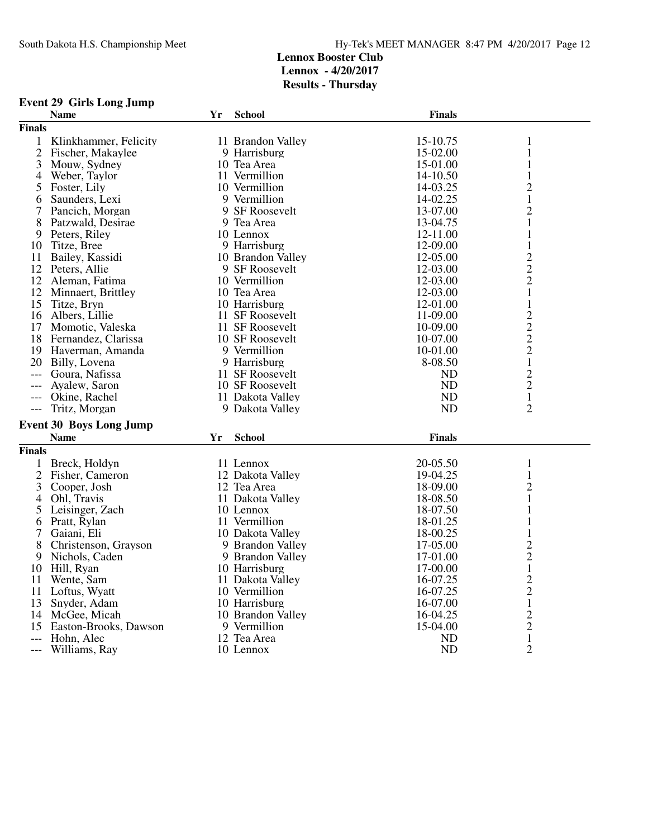| <b>Event 29 Girls Long Jump</b> |  |  |  |
|---------------------------------|--|--|--|
|---------------------------------|--|--|--|

|                     | вусис 27 чить вонд Jump<br><b>Name</b> | Yr | <b>School</b>     | <b>Finals</b> |                                                   |
|---------------------|----------------------------------------|----|-------------------|---------------|---------------------------------------------------|
| <b>Finals</b>       |                                        |    |                   |               |                                                   |
| $\mathbf{1}$        | Klinkhammer, Felicity                  |    | 11 Brandon Valley | 15-10.75      | $\mathbf{1}$                                      |
| $\overline{2}$      | Fischer, Makaylee                      |    | 9 Harrisburg      | 15-02.00      |                                                   |
|                     |                                        |    |                   |               | 1                                                 |
| 3                   | Mouw, Sydney                           |    | 10 Tea Area       | 15-01.00      | 1                                                 |
| 4                   | Weber, Taylor                          |    | 11 Vermillion     | 14-10.50      | 1                                                 |
| 5                   | Foster, Lily                           |    | 10 Vermillion     | 14-03.25      | $\overline{2}$                                    |
| 6                   | Saunders, Lexi                         |    | 9 Vermillion      | 14-02.25      | $\mathbf{1}$                                      |
| 7                   | Pancich, Morgan                        |    | 9 SF Roosevelt    | 13-07.00      | $\overline{2}$                                    |
| 8                   | Patzwald, Desirae                      |    | 9 Tea Area        | 13-04.75      | 1                                                 |
| 9                   | Peters, Riley                          |    | 10 Lennox         | 12-11.00      | 1                                                 |
| 10                  | Titze, Bree                            |    | 9 Harrisburg      | 12-09.00      | 1                                                 |
| 11                  | Bailey, Kassidi                        |    | 10 Brandon Valley | 12-05.00      |                                                   |
|                     | 12 Peters, Allie                       |    | 9 SF Roosevelt    | 12-03.00      | $\frac{2}{2}$                                     |
|                     | 12 Aleman, Fatima                      |    | 10 Vermillion     | 12-03.00      |                                                   |
|                     | 12 Minnaert, Brittley                  |    | 10 Tea Area       | 12-03.00      | 1                                                 |
| 15                  | Titze, Bryn                            |    | 10 Harrisburg     | 12-01.00      | $\mathbf{1}$                                      |
|                     | 16 Albers, Lillie                      |    | 11 SF Roosevelt   | 11-09.00      |                                                   |
|                     | 17 Momotic, Valeska                    |    | 11 SF Roosevelt   | 10-09.00      | $\begin{array}{c}\n2 \\ 2 \\ 2 \\ 1\n\end{array}$ |
|                     | 18 Fernandez, Clarissa                 |    | 10 SF Roosevelt   | 10-07.00      |                                                   |
|                     | 19 Haverman, Amanda                    |    | 9 Vermillion      | 10-01.00      |                                                   |
|                     | 20 Billy, Lovena                       |    | 9 Harrisburg      | 8-08.50       |                                                   |
|                     | Goura, Nafissa                         |    | 11 SF Roosevelt   | <b>ND</b>     |                                                   |
|                     | Ayalew, Saron                          |    | 10 SF Roosevelt   | <b>ND</b>     | $\frac{2}{2}$                                     |
|                     |                                        |    |                   | <b>ND</b>     | $\mathbf{1}$                                      |
|                     | Okine, Rachel                          |    | 11 Dakota Valley  | <b>ND</b>     | $\overline{2}$                                    |
| $\qquad \qquad - -$ | Tritz, Morgan                          |    | 9 Dakota Valley   |               |                                                   |
|                     | <b>Event 30 Boys Long Jump</b>         |    |                   |               |                                                   |
|                     | <b>Name</b>                            | Yr | <b>School</b>     | <b>Finals</b> |                                                   |
| <b>Finals</b>       |                                        |    |                   |               |                                                   |
|                     | 1 Breck, Holdyn                        |    | 11 Lennox         | 20-05.50      | 1                                                 |
| $\overline{2}$      | Fisher, Cameron                        |    | 12 Dakota Valley  | 19-04.25      | 1                                                 |
| 3                   | Cooper, Josh                           |    | 12 Tea Area       | 18-09.00      | $\overline{2}$                                    |
| 4                   | Ohl, Travis                            |    | 11 Dakota Valley  | 18-08.50      | 1                                                 |
| 5                   | Leisinger, Zach                        |    | 10 Lennox         | 18-07.50      | 1                                                 |
| 6                   | Pratt, Rylan                           |    | 11 Vermillion     | 18-01.25      | 1                                                 |
| $\tau$              | Gaiani, Eli                            |    | 10 Dakota Valley  | 18-00.25      | 1                                                 |
| 8                   | Christenson, Grayson                   |    | 9 Brandon Valley  | 17-05.00      | $\overline{\mathbf{c}}$                           |
| 9                   | Nichols, Caden                         |    | 9 Brandon Valley  | 17-01.00      | $\overline{c}$                                    |
|                     | 10 Hill, Ryan                          |    | 10 Harrisburg     | 17-00.00      | $\,1$                                             |
| 11                  | Wente, Sam                             |    | 11 Dakota Valley  | 16-07.25      |                                                   |
| 11                  | Loftus, Wyatt                          |    | 10 Vermillion     | 16-07.25      | $\frac{2}{2}$                                     |
| 13                  |                                        |    | 10 Harrisburg     | 16-07.00      | $\mathbf{1}$                                      |
|                     | Snyder, Adam                           |    |                   |               |                                                   |
| 14                  | McGee, Micah                           |    | 10 Brandon Valley | 16-04.25      | $\overline{c}$                                    |
| 15                  | Easton-Brooks, Dawson                  |    | 9 Vermillion      | 15-04.00      | $\overline{2}$                                    |
| $\overline{a}$      | Hohn, Alec                             |    | 12 Tea Area       | <b>ND</b>     | $\mathbf{1}$                                      |
|                     | Williams, Ray                          |    | 10 Lennox         | <b>ND</b>     | $\overline{2}$                                    |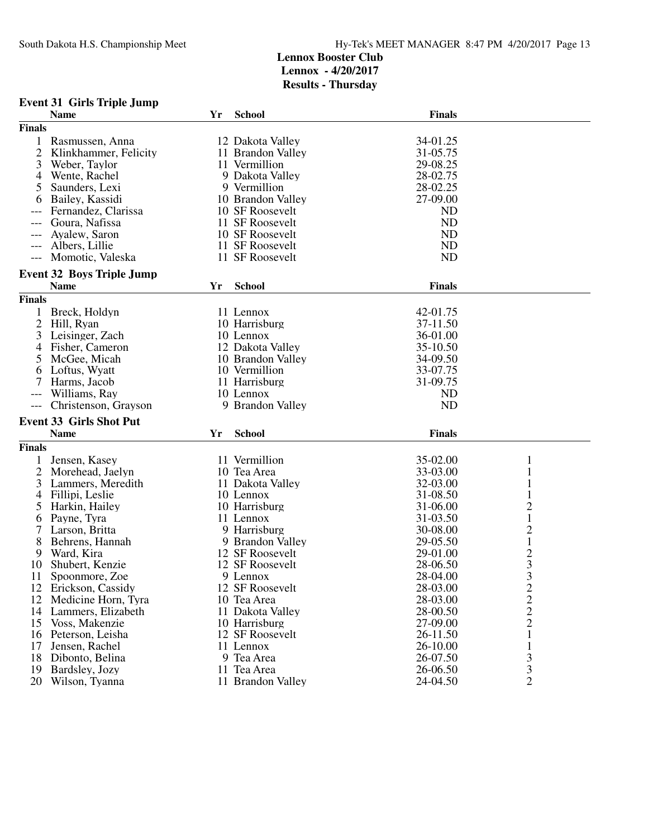|                | <b>Event 31 Girls Triple Jump</b> |    |                                    |                      |                                                   |
|----------------|-----------------------------------|----|------------------------------------|----------------------|---------------------------------------------------|
|                | <b>Name</b>                       | Yr | <b>School</b>                      | <b>Finals</b>        |                                                   |
| <b>Finals</b>  |                                   |    |                                    |                      |                                                   |
| 1              | Rasmussen, Anna                   |    | 12 Dakota Valley                   | 34-01.25             |                                                   |
| 2              | Klinkhammer, Felicity             |    | 11 Brandon Valley                  | 31-05.75             |                                                   |
| 3              | Weber, Taylor                     |    | 11 Vermillion                      | 29-08.25             |                                                   |
| 4              | Wente, Rachel                     |    | 9 Dakota Valley                    | 28-02.75             |                                                   |
| 5              | Saunders, Lexi                    |    | 9 Vermillion                       | 28-02.25             |                                                   |
| 6              | Bailey, Kassidi                   |    | 10 Brandon Valley                  | 27-09.00             |                                                   |
|                | Fernandez, Clarissa               |    | 10 SF Roosevelt                    | N <sub>D</sub>       |                                                   |
|                | Goura, Nafissa                    |    | 11 SF Roosevelt                    | <b>ND</b>            |                                                   |
|                | Ayalew, Saron                     |    | 10 SF Roosevelt                    | <b>ND</b>            |                                                   |
|                | Albers, Lillie                    |    | 11 SF Roosevelt                    | <b>ND</b>            |                                                   |
| $---$          | Momotic, Valeska                  |    | 11 SF Roosevelt                    | <b>ND</b>            |                                                   |
|                | <b>Event 32 Boys Triple Jump</b>  |    |                                    |                      |                                                   |
|                | <b>Name</b>                       | Yr | <b>School</b>                      | <b>Finals</b>        |                                                   |
| <b>Finals</b>  |                                   |    |                                    |                      |                                                   |
|                |                                   |    |                                    |                      |                                                   |
|                | Breck, Holdyn                     |    | 11 Lennox                          | 42-01.75             |                                                   |
| 2              | Hill, Ryan                        |    | 10 Harrisburg                      | 37-11.50             |                                                   |
| 3              | Leisinger, Zach                   |    | 10 Lennox                          | 36-01.00<br>35-10.50 |                                                   |
| 4              | Fisher, Cameron                   |    | 12 Dakota Valley                   |                      |                                                   |
| 5              | McGee, Micah<br>Loftus, Wyatt     |    | 10 Brandon Valley<br>10 Vermillion | 34-09.50<br>33-07.75 |                                                   |
| 6              | Harms, Jacob                      |    | 11 Harrisburg                      | 31-09.75             |                                                   |
|                | Williams, Ray                     |    | 10 Lennox                          | <b>ND</b>            |                                                   |
|                | Christenson, Grayson              |    | 9 Brandon Valley                   | <b>ND</b>            |                                                   |
|                |                                   |    |                                    |                      |                                                   |
|                | <b>Event 33 Girls Shot Put</b>    |    |                                    |                      |                                                   |
|                | <b>Name</b>                       | Yr | <b>School</b>                      | <b>Finals</b>        |                                                   |
| <b>Finals</b>  |                                   |    |                                    |                      |                                                   |
|                | Jensen, Kasey                     |    | 11 Vermillion                      | 35-02.00             | 1                                                 |
| $\overline{c}$ | Morehead, Jaelyn                  |    | 10 Tea Area                        | 33-03.00             | $\mathbf{1}$                                      |
| 3              | Lammers, Meredith                 |    | 11 Dakota Valley                   | 32-03.00             | $\mathbf{1}$                                      |
| 4              | Fillipi, Leslie                   |    | 10 Lennox                          | 31-08.50             | $\mathbf{1}$                                      |
| 5              | Harkin, Hailey                    |    | 10 Harrisburg                      | 31-06.00             | $\overline{\mathbf{c}}$                           |
| 6              | Payne, Tyra                       |    | 11 Lennox                          | 31-03.50             | $\mathbf{1}$                                      |
| 7              | Larson, Britta                    |    | 9 Harrisburg                       | 30-08.00             | $\frac{2}{1}$                                     |
| 8              | Behrens, Hannah                   |    | 9 Brandon Valley                   | 29-05.50             |                                                   |
| 9              | Ward, Kira                        |    | 12 SF Roosevelt                    | 29-01.00             | $\frac{2}{3}$                                     |
| 10             | Shubert, Kenzie                   |    | 12 SF Roosevelt                    | 28-06.50             |                                                   |
| 11             | Spoonmore, Zoe                    |    | 9 Lennox                           | 28-04.00             | 3                                                 |
| 12             | Erickson, Cassidy                 |    | 12 SF Roosevelt                    | 28-03.00             |                                                   |
| 12             | Medicine Horn, Tyra               |    | 10 Tea Area                        | 28-03.00             |                                                   |
| 14             | Lammers, Elizabeth                |    | 11 Dakota Valley                   | 28-00.50             | $\begin{array}{c}\n2 \\ 2 \\ 2 \\ 1\n\end{array}$ |
| 15             | Voss, Makenzie                    |    | 10 Harrisburg                      | 27-09.00             |                                                   |
| 16             | Peterson, Leisha                  |    | 12 SF Roosevelt                    | 26-11.50             |                                                   |
| 17             | Jensen, Rachel                    |    | 11 Lennox                          | 26-10.00             | $\mathbf{1}$                                      |
| 18             | Dibonto, Belina                   |    | 9 Tea Area                         | 26-07.50             | 3                                                 |
| 19             | Bardsley, Jozy                    |    | 11 Tea Area                        | 26-06.50             | $\overline{\mathbf{3}}$                           |
| 20             | Wilson, Tyanna                    |    | 11 Brandon Valley                  | 24-04.50             | $\overline{2}$                                    |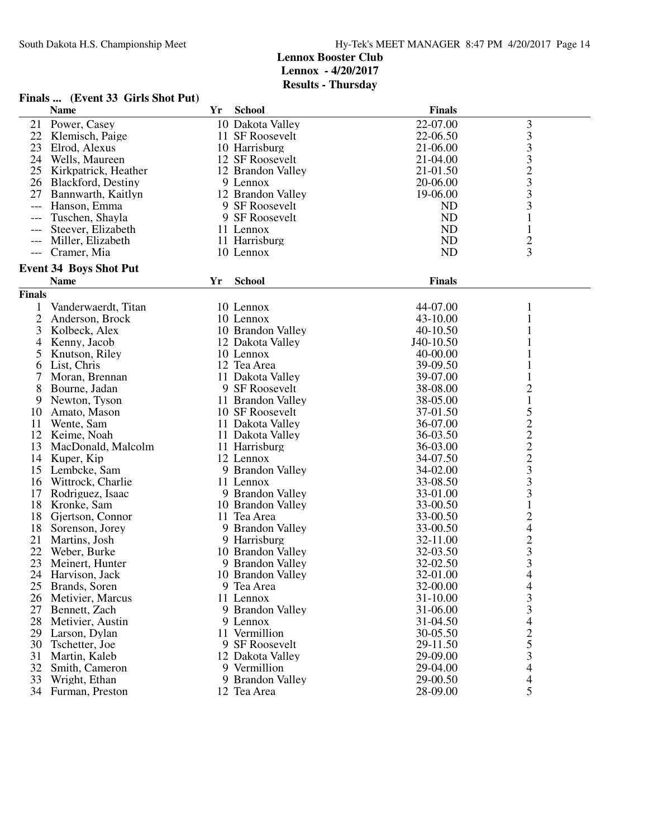|                | Finals  (Event 33 Girls Shot Put)            |    |                   |               |                                                 |
|----------------|----------------------------------------------|----|-------------------|---------------|-------------------------------------------------|
|                | <b>Name</b>                                  | Yr | <b>School</b>     | <b>Finals</b> |                                                 |
| 21             | Power, Casey                                 |    | 10 Dakota Valley  | 22-07.00      | 3                                               |
| 22             | Klemisch, Paige                              |    | 11 SF Roosevelt   | 22-06.50      | 3                                               |
|                | 23 Elrod, Alexus                             |    | 10 Harrisburg     | 21-06.00      |                                                 |
|                | 24 Wells, Maureen                            |    | 12 SF Roosevelt   | 21-04.00      |                                                 |
|                | 25 Kirkpatrick, Heather                      |    | 12 Brandon Valley | 21-01.50      |                                                 |
|                | 26 Blackford, Destiny                        |    | 9 Lennox          | 20-06.00      |                                                 |
| 27             | Bannwarth, Kaitlyn                           |    | 12 Brandon Valley | 19-06.00      | $3323$<br>3                                     |
|                | Hanson, Emma                                 |    | 9 SF Roosevelt    | ND            | 3                                               |
|                | Tuschen, Shayla                              |    | 9 SF Roosevelt    | ND            | $\mathbf{1}$                                    |
| $---$          | Steever, Elizabeth                           |    | 11 Lennox         | <b>ND</b>     | $\mathbf{1}$                                    |
| $---$          | Miller, Elizabeth                            |    | 11 Harrisburg     | <b>ND</b>     |                                                 |
|                | --- Cramer, Mia                              |    | 10 Lennox         | ND            | $\frac{2}{3}$                                   |
|                |                                              |    |                   |               |                                                 |
|                | <b>Event 34 Boys Shot Put</b><br><b>Name</b> | Yr | <b>School</b>     | <b>Finals</b> |                                                 |
| <b>Finals</b>  |                                              |    |                   |               |                                                 |
|                |                                              |    |                   |               |                                                 |
| $\mathbf{1}$   | Vanderwaerdt, Titan                          |    | 10 Lennox         | 44-07.00      | 1                                               |
| $\overline{2}$ | Anderson, Brock                              |    | 10 Lennox         | 43-10.00      | 1                                               |
| 3              | Kolbeck, Alex                                |    | 10 Brandon Valley | 40-10.50      | 1                                               |
| 4              | Kenny, Jacob                                 |    | 12 Dakota Valley  | J40-10.50     | 1                                               |
| 5              | Knutson, Riley                               |    | 10 Lennox         | 40-00.00      | 1                                               |
| 6              | List, Chris                                  |    | 12 Tea Area       | 39-09.50      | 1                                               |
| 7              | Moran, Brennan                               |    | 11 Dakota Valley  | 39-07.00      | 1                                               |
| 8              | Bourne, Jadan                                |    | 9 SF Roosevelt    | 38-08.00      | $\mathbf{2}$                                    |
| 9              | Newton, Tyson                                |    | 11 Brandon Valley | 38-05.00      | $\mathbf{1}$                                    |
| 10             | Amato, Mason                                 |    | 10 SF Roosevelt   | 37-01.50      |                                                 |
| 11             | Wente, Sam                                   |    | 11 Dakota Valley  | 36-07.00      | 52223                                           |
| 12             | Keime, Noah                                  |    | 11 Dakota Valley  | 36-03.50      |                                                 |
| 13             | MacDonald, Malcolm                           |    | 11 Harrisburg     | 36-03.00      |                                                 |
|                | 14 Kuper, Kip                                |    | 12 Lennox         | 34-07.50      |                                                 |
|                | 15 Lembcke, Sam                              |    | 9 Brandon Valley  | 34-02.00      |                                                 |
| 16             | Wittrock, Charlie                            |    | 11 Lennox         | 33-08.50      | $\overline{\mathbf{3}}$                         |
| 17             | Rodriguez, Isaac                             |    | 9 Brandon Valley  | 33-01.00      | 3                                               |
| 18             | Kronke, Sam                                  |    | 10 Brandon Valley | 33-00.50      | $\mathbf{1}$                                    |
| 18             | Gjertson, Connor                             |    | 11 Tea Area       | 33-00.50      | $\begin{array}{c} 2 \\ 4 \\ 2 \\ 3 \end{array}$ |
| 18             | Sorenson, Jorey                              |    | 9 Brandon Valley  | 33-00.50      |                                                 |
| 21             | Martins, Josh                                |    | 9 Harrisburg      | 32-11.00      |                                                 |
| 22             | Weber, Burke                                 |    | 10 Brandon Valley | 32-03.50      |                                                 |
|                | 23 Meinert, Hunter                           |    | 9 Brandon Valley  | 32-02.50      | 3                                               |
|                | 24 Harvison, Jack                            |    | 10 Brandon Valley | 32-01.00      | 4                                               |
| 25             | Brands, Soren                                |    | 9 Tea Area        | 32-00.00      | 4                                               |
|                | 26 Metivier, Marcus                          |    | 11 Lennox         | 31-10.00      | 3                                               |
|                | 27 Bennett, Zach                             |    | 9 Brandon Valley  | 31-06.00      | 3                                               |
| 28             | Metivier, Austin                             |    | 9 Lennox          | 31-04.50      | $\overline{4}$                                  |
|                | 29 Larson, Dylan                             |    | 11 Vermillion     | 30-05.50      | $rac{2}{5}$                                     |
|                | 30 Tschetter, Joe                            |    | 9 SF Roosevelt    | 29-11.50      |                                                 |
| 31             | Martin, Kaleb                                |    | 12 Dakota Valley  | 29-09.00      | 3                                               |
|                | 32 Smith, Cameron                            |    | 9 Vermillion      | 29-04.00      | 4                                               |
|                | 33 Wright, Ethan                             |    | 9 Brandon Valley  | 29-00.50      | 4                                               |
|                | 34 Furman, Preston                           |    | 12 Tea Area       | 28-09.00      | 5                                               |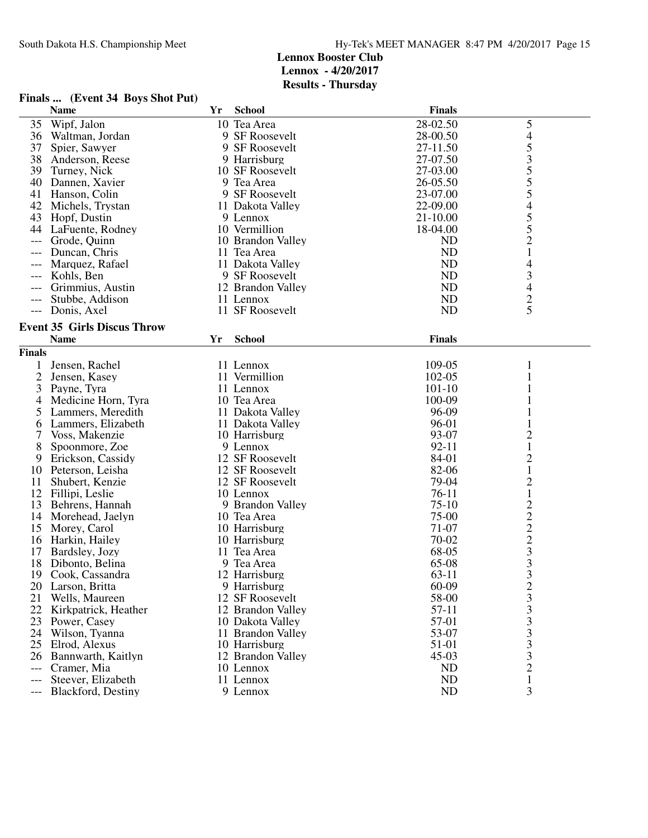### **Finals ... (Event 34 Boys Shot Put)**

|                                     | <b>Name</b>                        | Yr | <b>School</b>     | <b>Finals</b> |                          |  |
|-------------------------------------|------------------------------------|----|-------------------|---------------|--------------------------|--|
| 35                                  | Wipf, Jalon                        |    | 10 Tea Area       | 28-02.50      | 5                        |  |
| 36                                  | Waltman, Jordan                    |    | 9 SF Roosevelt    | 28-00.50      | 4                        |  |
| 37                                  | Spier, Sawyer                      |    | 9 SF Roosevelt    | 27-11.50      | 5                        |  |
| 38                                  | Anderson, Reese                    |    | 9 Harrisburg      | 27-07.50      | 3                        |  |
| 39                                  | Turney, Nick                       |    | 10 SF Roosevelt   | 27-03.00      | 5                        |  |
| 40                                  | Dannen, Xavier                     |    | 9 Tea Area        | 26-05.50      | 5                        |  |
| 41                                  | Hanson, Colin                      |    | 9 SF Roosevelt    | 23-07.00      | 5                        |  |
| 42                                  | Michels, Trystan                   |    | 11 Dakota Valley  | 22-09.00      | $\overline{\mathcal{L}}$ |  |
| 43                                  | Hopf, Dustin                       |    | 9 Lennox          | 21-10.00      |                          |  |
| 44                                  |                                    |    | 10 Vermillion     | 18-04.00      | $\frac{5}{5}$            |  |
|                                     | LaFuente, Rodney                   |    | 10 Brandon Valley |               | $\overline{c}$           |  |
| $---$                               | Grode, Quinn                       |    |                   | ND            |                          |  |
|                                     | Duncan, Chris                      |    | 11 Tea Area       | ND            | $\mathbf{1}$             |  |
|                                     | Marquez, Rafael                    |    | 11 Dakota Valley  | <b>ND</b>     | 4                        |  |
|                                     | Kohls, Ben                         |    | 9 SF Roosevelt    | <b>ND</b>     | $\mathfrak{Z}$           |  |
|                                     | Grimmius, Austin                   |    | 12 Brandon Valley | <b>ND</b>     | 4                        |  |
|                                     | Stubbe, Addison                    |    | 11 Lennox         | <b>ND</b>     | $\overline{c}$           |  |
| $---$                               | Donis, Axel                        |    | 11 SF Roosevelt   | <b>ND</b>     | 5                        |  |
|                                     | <b>Event 35 Girls Discus Throw</b> |    |                   |               |                          |  |
|                                     | <b>Name</b>                        | Yr | <b>School</b>     | <b>Finals</b> |                          |  |
| <b>Finals</b>                       |                                    |    |                   |               |                          |  |
|                                     | Jensen, Rachel                     |    | 11 Lennox         | 109-05        |                          |  |
| 1                                   |                                    |    | 11 Vermillion     | 102-05        | 1                        |  |
| $\overline{c}$                      | Jensen, Kasey                      |    | 11 Lennox         | $101 - 10$    | 1                        |  |
| 3                                   | Payne, Tyra                        |    |                   |               |                          |  |
| 4                                   | Medicine Horn, Tyra                |    | 10 Tea Area       | 100-09        |                          |  |
| 5                                   | Lammers, Meredith                  |    | 11 Dakota Valley  | 96-09         |                          |  |
| 6                                   | Lammers, Elizabeth                 |    | 11 Dakota Valley  | 96-01         | $\mathbf{1}$             |  |
| 7                                   | Voss, Makenzie                     |    | 10 Harrisburg     | 93-07         | $\overline{c}$           |  |
| 8                                   | Spoonmore, Zoe                     |    | 9 Lennox          | 92-11         | $\mathbf{1}$             |  |
| 9                                   | Erickson, Cassidy                  |    | 12 SF Roosevelt   | 84-01         | $\overline{c}$           |  |
| 10                                  | Peterson, Leisha                   |    | 12 SF Roosevelt   | 82-06         | $\mathbf{1}$             |  |
| 11                                  | Shubert, Kenzie                    |    | 12 SF Roosevelt   | 79-04         | $\overline{2}$           |  |
| 12                                  | Fillipi, Leslie                    |    | 10 Lennox         | $76-11$       | $\mathbf{1}$             |  |
| 13                                  | Behrens, Hannah                    |    | 9 Brandon Valley  | $75-10$       | $\overline{\mathbf{c}}$  |  |
| 14                                  | Morehead, Jaelyn                   |    | 10 Tea Area       | 75-00         | $\frac{2}{2}$            |  |
| 15                                  | Morey, Carol                       |    | 10 Harrisburg     | 71-07         |                          |  |
| 16                                  | Harkin, Hailey                     |    | 10 Harrisburg     | 70-02         |                          |  |
| 17                                  | Bardsley, Jozy                     |    | 11 Tea Area       | 68-05         | 3                        |  |
| 18                                  | Dibonto, Belina                    |    | 9 Tea Area        | 65-08         | 3                        |  |
| 19                                  | Cook, Cassandra                    |    | 12 Harrisburg     | $63 - 11$     | 3                        |  |
| 20                                  | Larson, Britta                     |    | 9 Harrisburg      | 60-09         | $\overline{c}$           |  |
| 21                                  | Wells, Maureen                     |    | 12 SF Roosevelt   | 58-00         | 3                        |  |
| 22                                  | Kirkpatrick, Heather               |    | 12 Brandon Valley | 57-11         | 3                        |  |
| 23                                  | Power, Casey                       |    | 10 Dakota Valley  | 57-01         | 3                        |  |
| 24                                  | Wilson, Tyanna                     |    | 11 Brandon Valley | 53-07         | 3                        |  |
| 25                                  | Elrod, Alexus                      |    | 10 Harrisburg     | 51-01         | 3                        |  |
| 26                                  | Bannwarth, Kaitlyn                 |    | 12 Brandon Valley | $45-03$       | 3                        |  |
| $---$                               | Cramer, Mia                        |    | 10 Lennox         | <b>ND</b>     | $\overline{2}$           |  |
| $---$                               | Steever, Elizabeth                 |    | 11 Lennox         | <b>ND</b>     | $\mathbf{1}$             |  |
| $\hspace{0.05cm}---\hspace{0.05cm}$ | <b>Blackford, Destiny</b>          |    | 9 Lennox          | ND            | $\overline{3}$           |  |
|                                     |                                    |    |                   |               |                          |  |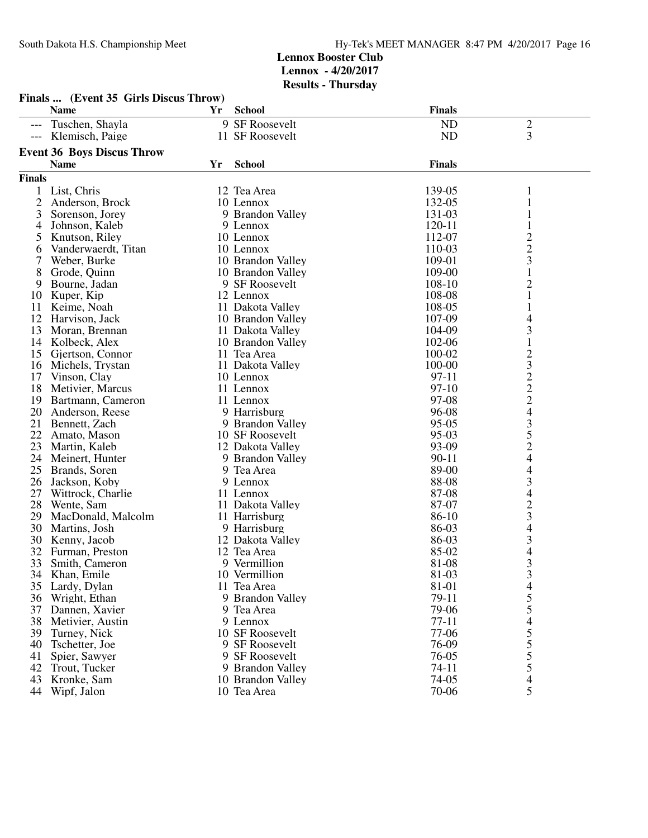|               | Finals  (Event 35 Girls Discus Throw) |    |                   |               |                                                 |
|---------------|---------------------------------------|----|-------------------|---------------|-------------------------------------------------|
|               | <b>Name</b>                           | Yr | <b>School</b>     | <b>Finals</b> |                                                 |
| ---           | Tuschen, Shayla                       |    | 9 SF Roosevelt    | ND            | $\sqrt{2}$                                      |
| $---$         | Klemisch, Paige                       |    | 11 SF Roosevelt   | <b>ND</b>     | $\overline{3}$                                  |
|               |                                       |    |                   |               |                                                 |
|               | <b>Event 36 Boys Discus Throw</b>     |    |                   |               |                                                 |
|               | <b>Name</b>                           | Yr | <b>School</b>     | <b>Finals</b> |                                                 |
| <b>Finals</b> |                                       |    |                   |               |                                                 |
| $\mathbf{1}$  | List, Chris                           |    | 12 Tea Area       | 139-05        | 1                                               |
| 2             | Anderson, Brock                       |    | 10 Lennox         | 132-05        | 1                                               |
| 3             | Sorenson, Jorey                       |    | 9 Brandon Valley  | 131-03        | 1                                               |
| 4             | Johnson, Kaleb                        |    | 9 Lennox          | 120-11        | $\mathbf{1}$                                    |
| 5             | Knutson, Riley                        |    | 10 Lennox         | 112-07        | $\overline{c}$                                  |
| 6             | Vanderwaerdt, Titan                   |    | 10 Lennox         | 110-03        | $\overline{c}$                                  |
| 7             | Weber, Burke                          |    | 10 Brandon Valley | 109-01        | 3                                               |
| 8             | Grode, Quinn                          |    | 10 Brandon Valley | 109-00        | 1                                               |
| 9             | Bourne, Jadan                         |    | 9 SF Roosevelt    | 108-10        | $\overline{c}$                                  |
|               | 10 Kuper, Kip                         |    | 12 Lennox         | 108-08        | $\mathbf{1}$                                    |
| 11            | Keime, Noah                           |    | 11 Dakota Valley  | 108-05        | 1                                               |
|               | 12 Harvison, Jack                     |    | 10 Brandon Valley | 107-09        | 4                                               |
| 13            | Moran, Brennan                        |    | 11 Dakota Valley  | 104-09        | 3                                               |
|               | 14 Kolbeck, Alex                      |    | 10 Brandon Valley | 102-06        | 1                                               |
|               | 15 Gjertson, Connor                   |    | 11 Tea Area       | 100-02        | $\overline{c}$                                  |
| 16            | Michels, Trystan                      |    | 11 Dakota Valley  | 100-00        | 3                                               |
| 17            | Vinson, Clay                          |    | 10 Lennox         | $97 - 11$     |                                                 |
| 18            | Metivier, Marcus                      |    | 11 Lennox         | 97-10         | $\frac{2}{2}$<br>$\frac{2}{4}$<br>$\frac{4}{3}$ |
|               | 19 Bartmann, Cameron                  |    | 11 Lennox         | 97-08         |                                                 |
| 20            | Anderson, Reese                       |    | 9 Harrisburg      | 96-08         |                                                 |
| 21            | Bennett, Zach                         |    | 9 Brandon Valley  | 95-05         |                                                 |
| 22            | Amato, Mason                          |    | 10 SF Roosevelt   | 95-03         | 5                                               |
| 23            | Martin, Kaleb                         |    | 12 Dakota Valley  | 93-09         | $\overline{c}$                                  |
|               | 24 Meinert, Hunter                    |    | 9 Brandon Valley  | $90 - 11$     | 4                                               |
| 25            | Brands, Soren                         |    | 9 Tea Area        | 89-00         | 4                                               |
| 26            | Jackson, Koby                         |    | 9 Lennox          | 88-08         | 3                                               |
| 27            | Wittrock, Charlie                     |    | 11 Lennox         | 87-08         | $\overline{4}$                                  |
| 28            | Wente, Sam                            |    | 11 Dakota Valley  | 87-07         | $\overline{c}$                                  |
| 29            | MacDonald, Malcolm                    |    | 11 Harrisburg     | 86-10         | 3                                               |
|               | 30 Martins, Josh                      |    | 9 Harrisburg      | 86-03         | 4                                               |
|               | 30 Kenny, Jacob                       |    | 12 Dakota Valley  | 86-03         |                                                 |
| 32            | Furman, Preston                       |    | 12 Tea Area       | 85-02         | 3<br>4                                          |
|               | 33 Smith, Cameron                     |    | 9 Vermillion      | 81-08         | 3                                               |
| 34            | Khan, Emile                           |    | 10 Vermillion     | 81-03         | $\mathfrak{Z}$                                  |
| 35            | Lardy, Dylan                          |    | 11 Tea Area       | 81-01         |                                                 |
|               | 36 Wright, Ethan                      |    | 9 Brandon Valley  | 79-11         |                                                 |
| 37            | Dannen, Xavier                        |    | 9 Tea Area        | 79-06         |                                                 |
| 38            | Metivier, Austin                      |    | 9 Lennox          | $77 - 11$     |                                                 |
| 39            | Turney, Nick                          |    | 10 SF Roosevelt   | 77-06         | 45545555                                        |
| 40            | Tschetter, Joe                        |    | 9 SF Roosevelt    | 76-09         |                                                 |
| 41            | Spier, Sawyer                         |    | 9 SF Roosevelt    | 76-05         |                                                 |
| 42            | Trout, Tucker                         |    | 9 Brandon Valley  | $74 - 11$     |                                                 |
| 43            | Kronke, Sam                           |    | 10 Brandon Valley | 74-05         | $\overline{\mathcal{L}}$                        |
| 44            | Wipf, Jalon                           |    | 10 Tea Area       | 70-06         | 5                                               |